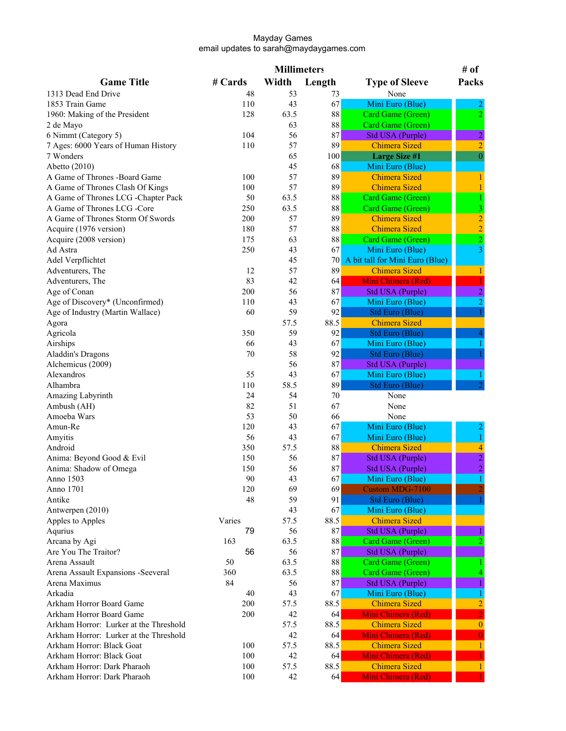|                                                                     |         | <b>Millimeters</b> |            |                                            | # of                    |
|---------------------------------------------------------------------|---------|--------------------|------------|--------------------------------------------|-------------------------|
| <b>Game Title</b>                                                   | # Cards | Width              | Length     | <b>Type of Sleeve</b>                      | Packs                   |
| 1313 Dead End Drive                                                 | 48      | 53                 | 73         | None                                       |                         |
| 1853 Train Game                                                     | 110     | 43                 | 67         | Mini Euro (Blue)                           |                         |
| 1960: Making of the President                                       | 128     | 63.5               | $\bf 88$   | Card Game (Green)                          | $\overline{2}$          |
| 2 de Mayo                                                           |         | 63                 | 88         | Card Game (Green)                          |                         |
| 6 Nimmt (Category 5)                                                | 104     | 56                 | 87         | <b>Std USA (Purple)</b>                    | $\overline{c}$          |
| 7 Ages: 6000 Years of Human History                                 | 110     | 57                 | 89         | <b>Chimera Sized</b>                       | $\overline{2}$          |
| 7 Wonders                                                           |         | 65                 | 100        | <b>Large Size #1</b>                       | $\overline{0}$          |
| Abetto (2010)                                                       |         | 45                 | 68         | Mini Euro (Blue)                           |                         |
| A Game of Thrones -Board Game                                       | 100     | 57                 | 89         | <b>Chimera Sized</b>                       |                         |
| A Game of Thrones Clash Of Kings                                    | 100     | 57                 | 89         | <b>Chimera Sized</b>                       |                         |
| A Game of Thrones LCG -Chapter Pack                                 | 50      | 63.5               | $\bf 88$   | Card Game (Green)                          |                         |
| A Game of Thrones LCG -Core                                         | 250     | 63.5               | 88         | Card Game (Green)                          | $\overline{\mathbf{3}}$ |
| A Game of Thrones Storm Of Swords                                   | 200     | 57                 | 89         | <b>Chimera Sized</b>                       | $\overline{c}$          |
| Acquire (1976 version)                                              | 180     | 57                 | 88         | <b>Chimera Sized</b>                       | $\overline{2}$          |
| Acquire (2008 version)                                              | 175     | 63                 | $88\,$     | Card Game (Green)                          | $\frac{2}{3}$           |
| Ad Astra                                                            | 250     | 43                 | 67         | Mini Euro (Blue)                           |                         |
| Adel Verpflichtet                                                   |         | 45                 | 70         | A bit tall for Mini Euro (Blue)            |                         |
| Adventurers, The                                                    | 12      | 57                 | 89         | <b>Chimera Sized</b>                       |                         |
| Adventurers, The                                                    | 83      | 42                 | 64         | Mini Chimera (Red)                         |                         |
| Age of Conan                                                        | 200     | 56                 | 87         | <b>Std USA (Purple)</b>                    | $\overline{c}$          |
| Age of Discovery* (Unconfirmed)                                     | 110     | 43                 | 67         | Mini Euro (Blue)                           | $\overline{2}$          |
| Age of Industry (Martin Wallace)                                    | 60      | 59                 | 92         | <b>Std Euro (Blue)</b>                     |                         |
| Agora                                                               |         | 57.5               | 88.5       | <b>Chimera Sized</b>                       |                         |
| Agricola                                                            | 350     | 59                 | 92         | <b>Std Euro (Blue)</b>                     |                         |
| Airships                                                            | 66      | 43                 | 67         | Mini Euro (Blue)                           |                         |
| Aladdin's Dragons                                                   | 70      | 58                 | 92         | <b>Std Euro (Blue)</b>                     |                         |
| Alchemicus (2009)                                                   |         | 56                 | 87         | <b>Std USA (Purple)</b>                    |                         |
| Alexandros                                                          | 55      | 43                 | 67         | Mini Euro (Blue)                           |                         |
| Alhambra                                                            | 110     | 58.5               | 89         | Std Euro (Blue)                            |                         |
| Amazing Labyrinth                                                   | 24      | 54                 | 70         | None                                       |                         |
| Ambush (AH)                                                         | 82      | 51                 | 67         | None                                       |                         |
| Amoeba Wars                                                         | 53      | 50                 | 66         | None                                       |                         |
| Amun-Re                                                             | 120     | 43                 | 67         | Mini Euro (Blue)                           |                         |
| Amyitis                                                             | 56      | 43                 | 67         | Mini Euro (Blue)                           |                         |
| Android                                                             | 350     | 57.5               | $\bf 88$   | <b>Chimera Sized</b>                       | $\frac{4}{2}$           |
| Anima: Beyond Good & Evil                                           | 150     | 56                 | 87         | <b>Std USA (Purple)</b>                    |                         |
| Anima: Shadow of Omega                                              | 150     | 56                 | 87         | Std USA (Purple)                           | $\overline{2}$          |
| Anno 1503                                                           | 90      | 43                 | 67         | Mini Euro (Blue)                           | $\mathbf{1}$            |
| Anno 1701                                                           | 120     | 69                 | 69         | Custom MDG-7100                            |                         |
| Antike                                                              | 48      | 59                 | 91         | Std Euro (Blue)                            |                         |
| Antwerpen (2010)                                                    |         | 43                 | 67         | Mini Euro (Blue)                           |                         |
| Apples to Apples                                                    | Varies  | 57.5               | 88.5       | <b>Chimera Sized</b>                       |                         |
| Aqurius                                                             | 79      | 56                 | 87         | <b>Std USA (Purple)</b>                    |                         |
| Arcana by Agi                                                       | 163     | 63.5               | 88         | Card Game (Green)                          |                         |
| Are You The Traitor?                                                | 56      | 56                 | 87         | <b>Std USA (Purple)</b>                    |                         |
| Arena Assault                                                       | 50      | 63.5               | 88         | Card Game (Green)                          |                         |
| Arena Assault Expansions -Seeveral                                  | 360     | 63.5               | $\bf 88$   | Card Game (Green)                          |                         |
| Arena Maximus                                                       | 84      | 56                 | 87         | <b>Std USA (Purple)</b>                    |                         |
| Arkadia                                                             | 40      | 43                 | 67         | Mini Euro (Blue)                           |                         |
| Arkham Horror Board Game                                            | 200     | 57.5               | 88.5       | <b>Chimera Sized</b>                       | 2                       |
| Arkham Horror Board Game                                            | 200     | 42                 | 64         | Mini Chimera (Red)                         | $\overline{0}$          |
| Arkham Horror: Lurker at the Threshold                              |         | 57.5               | 88.5       | <b>Chimera Sized</b>                       |                         |
| Arkham Horror: Lurker at the Threshold<br>Arkham Horror: Black Goat | 100     | 42<br>57.5         | 64<br>88.5 | Mini Chimera (Red)<br><b>Chimera Sized</b> |                         |
| Arkham Horror: Black Goat                                           |         |                    |            | Mini Chimera (Red)                         |                         |
| Arkham Horror: Dark Pharaoh                                         | 100     | 42                 | 64         |                                            |                         |
|                                                                     | 100     | 57.5               | 88.5       | <b>Chimera Sized</b>                       |                         |
| Arkham Horror: Dark Pharaoh                                         | 100     | 42                 | 64         | Mini Chimera (Red)                         |                         |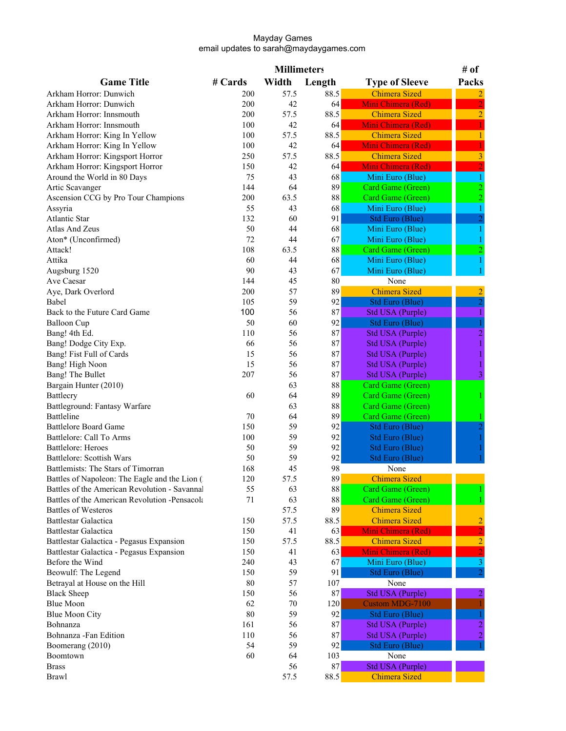|                                               |         | <b>Millimeters</b> |          |                        | # of           |
|-----------------------------------------------|---------|--------------------|----------|------------------------|----------------|
| <b>Game Title</b>                             | # Cards | Width              | Length   | <b>Type of Sleeve</b>  | Packs          |
| Arkham Horror: Dunwich                        | 200     | 57.5               | 88.5     | <b>Chimera Sized</b>   |                |
| Arkham Horror: Dunwich                        | 200     | 42                 | 64       | Mini Chimera (Red)     |                |
| Arkham Horror: Innsmouth                      | 200     | 57.5               | 88.5     | <b>Chimera Sized</b>   | $\overline{2}$ |
| Arkham Horror: Innsmouth                      | 100     | 42                 | 64       | Mini Chimera (Red)     |                |
| Arkham Horror: King In Yellow                 | 100     | 57.5               | 88.5     | <b>Chimera Sized</b>   |                |
| Arkham Horror: King In Yellow                 | 100     | 42                 | 64       | Mini Chimera (Red)     |                |
| Arkham Horror: Kingsport Horror               | 250     | 57.5               | 88.5     | <b>Chimera Sized</b>   |                |
| Arkham Horror: Kingsport Horror               | 150     | 42                 | 64       | Mini Chimera (Red)     |                |
| Around the World in 80 Days                   | 75      | 43                 | 68       | Mini Euro (Blue)       |                |
| Artic Scavanger                               | 144     | 64                 | 89       | Card Game (Green)      |                |
| Ascension CCG by Pro Tour Champions           | 200     | 63.5               | $\bf 88$ | Card Game (Green)      |                |
| Assyria                                       | 55      | 43                 | 68       | Mini Euro (Blue)       |                |
| <b>Atlantic Star</b>                          | 132     | 60                 | 91       | Std Euro (Blue)        |                |
| <b>Atlas And Zeus</b>                         | 50      | 44                 | 68       | Mini Euro (Blue)       |                |
| Aton* (Unconfirmed)                           | 72      | 44                 | 67       | Mini Euro (Blue)       |                |
| Attack!                                       | 108     | 63.5               | 88       | Card Game (Green)      |                |
| Attika                                        | 60      | 44                 | 68       | Mini Euro (Blue)       |                |
| Augsburg 1520                                 | 90      | 43                 | 67       | Mini Euro (Blue)       |                |
| Ave Caesar                                    | 144     | 45                 | 80       | None                   |                |
| Aye, Dark Overlord                            | 200     | 57                 | 89       | <b>Chimera Sized</b>   | 2              |
| Babel                                         | 105     | 59                 | 92       | Std Euro (Blue)        | $\overline{c}$ |
| Back to the Future Card Game                  | 100     | 56                 | 87       | Std USA (Purple)       |                |
| <b>Balloon</b> Cup                            | 50      | 60                 | 92       | Std Euro (Blue)        |                |
| Bang! 4th Ed.                                 | 110     | 56                 | 87       | Std USA (Purple)       | 2              |
| Bang! Dodge City Exp.                         | 66      | 56                 | 87       | Std USA (Purple)       |                |
| Bang! Fist Full of Cards                      | 15      | 56                 | 87       | Std USA (Purple)       |                |
| Bang! High Noon                               | 15      | 56                 | 87       | Std USA (Purple)       |                |
| Bang! The Bullet                              | 207     | 56                 | 87       | Std USA (Purple)       | 3              |
| Bargain Hunter (2010)                         |         | 63                 | 88       | Card Game (Green)      |                |
| Battlecry                                     | 60      | 64                 | 89       | Card Game (Green)      |                |
| Battleground: Fantasy Warfare                 |         | 63                 | 88       | Card Game (Green)      |                |
| <b>Battleline</b>                             | 70      | 64                 | 89       | Card Game (Green)      |                |
| <b>Battlelore Board Game</b>                  | 150     | 59                 | 92       | Std Euro (Blue)        |                |
| Battlelore: Call To Arms                      | 100     | 59                 | 92       | <b>Std Euro (Blue)</b> |                |
| <b>Battlelore: Heroes</b>                     | 50      | 59                 | 92       | Std Euro (Blue)        |                |
| Battlelore: Scottish Wars                     | 50      | 59                 | 92       | Std Euro (Blue)        |                |
| Battlemists: The Stars of Timorran            | 168     | 45                 | 98       | None                   |                |
| Battles of Napoleon: The Eagle and the Lion ( | 120     | 57.5               | 89       | <b>Chimera Sized</b>   |                |
| Battles of the American Revolution - Savannal | 55      | 63                 | $88\,$   | Card Game (Green)      |                |
| Battles of the American Revolution -Pensacola | 71      | 63                 | $88\,$   | Card Game (Green)      |                |
| <b>Battles of Westeros</b>                    |         | 57.5               | 89       | <b>Chimera Sized</b>   |                |
| <b>Battlestar Galactica</b>                   | 150     | 57.5               | 88.5     | <b>Chimera Sized</b>   |                |
| <b>Battlestar Galactica</b>                   | 150     | 41                 | 63       | Mini Chimera (Red)     |                |
| Battlestar Galactica - Pegasus Expansion      | 150     | 57.5               | 88.5     | <b>Chimera Sized</b>   | $\overline{2}$ |
| Battlestar Galactica - Pegasus Expansion      | 150     | 41                 | 63       | Mini Chimera (Red)     | $\overline{2}$ |
| Before the Wind                               | 240     | 43                 | 67       | Mini Euro (Blue)       | 3              |
| Beowulf: The Legend                           | 150     | 59                 | 91       | <b>Std Euro (Blue)</b> |                |
| Betrayal at House on the Hill                 | 80      | 57                 | 107      | None                   |                |
| <b>Black Sheep</b>                            | 150     | 56                 | 87       | Std USA (Purple)       |                |
| <b>Blue Moon</b>                              | 62      | $70\,$             | 120      | Custom MDG-7100        |                |
| <b>Blue Moon City</b>                         | 80      | 59                 | 92       | Std Euro (Blue)        |                |
| Bohnanza                                      | 161     | 56                 | 87       | Std USA (Purple)       |                |
| Bohnanza -Fan Edition                         | 110     | 56                 | 87       | Std USA (Purple)       | 2              |
| Boomerang (2010)                              | 54      | 59                 | 92       | Std Euro (Blue)        |                |
| Boomtown                                      | 60      | 64                 | 103      | None                   |                |
| <b>Brass</b>                                  |         | 56                 | 87       | Std USA (Purple)       |                |
| Brawl                                         |         | 57.5               | 88.5     | <b>Chimera Sized</b>   |                |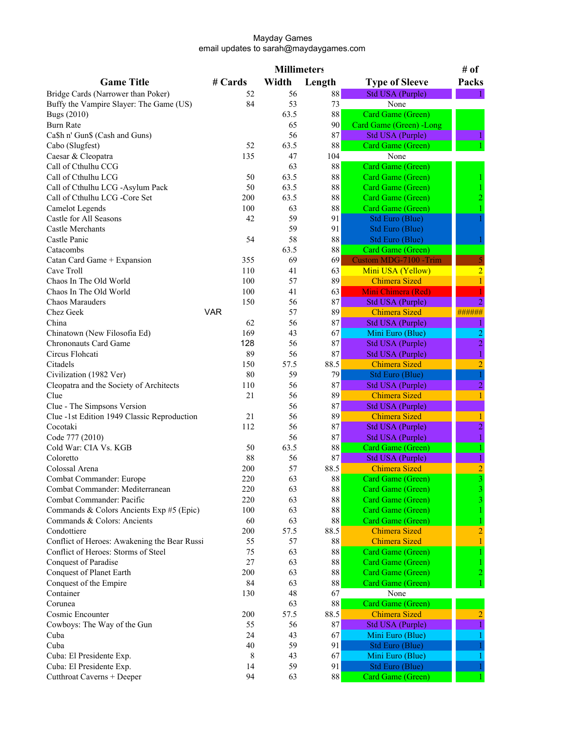|                                                 |            | <b>Millimeters</b> |          |                                          | # of           |
|-------------------------------------------------|------------|--------------------|----------|------------------------------------------|----------------|
| <b>Game Title</b>                               | # Cards    | Width              | Length   | <b>Type of Sleeve</b>                    | Packs          |
| Bridge Cards (Narrower than Poker)              | 52         | 56                 | 88       | Std USA (Purple)                         |                |
| Buffy the Vampire Slayer: The Game (US)         | 84         | 53                 | 73       | None                                     |                |
| <b>Bugs (2010)</b>                              |            | 63.5               | $\bf 88$ | Card Game (Green)                        |                |
| <b>Burn Rate</b>                                |            | 65                 | 90       | Card Game (Green) -Long                  |                |
| Ca\$h n' Gun\$ (Cash and Guns)                  |            | 56                 | 87       | <b>Std USA (Purple)</b>                  |                |
| Cabo (Slugfest)                                 | 52         | 63.5               | $88\,$   | Card Game (Green)                        |                |
| Caesar & Cleopatra                              | 135        | 47                 | 104      | None                                     |                |
| Call of Cthulhu CCG                             |            | 63                 | 88       | Card Game (Green)                        |                |
| Call of Cthulhu LCG                             | 50         | 63.5               | 88       | Card Game (Green)                        |                |
| Call of Cthulhu LCG -Asylum Pack                | 50         | 63.5               | 88       | Card Game (Green)                        |                |
| Call of Cthulhu LCG -Core Set                   | 200        | 63.5               | 88       | Card Game (Green)                        |                |
| <b>Camelot Legends</b>                          | 100        | 63                 | 88       | Card Game (Green)                        |                |
| Castle for All Seasons                          | 42         | 59                 | 91       | <b>Std Euro (Blue)</b>                   |                |
| Castle Merchants                                |            | 59                 | 91       | Std Euro (Blue)                          |                |
| Castle Panic                                    | 54         | 58                 | 88       | Std Euro (Blue)                          |                |
| Catacombs                                       |            | 63.5               | 88       | Card Game (Green)                        |                |
| Catan Card Game + Expansion                     | 355        | 69                 | 69       | Custom MDG-7100 -Trim                    |                |
| Cave Troll                                      | 110        | 41                 | 63       | Mini USA (Yellow)                        | $\overline{2}$ |
| Chaos In The Old World                          | 100        | 57                 | 89       | <b>Chimera Sized</b>                     |                |
| Chaos In The Old World                          | 100        | 41                 | 63       | Mini Chimera (Red)                       |                |
| Chaos Marauders                                 | 150        | 56                 | 87       | Std USA (Purple)                         |                |
| Chez Geek                                       | <b>VAR</b> | 57                 | 89       | <b>Chimera Sized</b>                     | ######         |
| China                                           | 62         | 56                 | 87       | Std USA (Purple)                         |                |
| Chinatown (New Filosofia Ed)                    | 169        | 43                 | 67       | Mini Euro (Blue)                         |                |
| <b>Chrononauts Card Game</b>                    | 128        | 56                 | 87       | Std USA (Purple)                         | $\overline{2}$ |
| Circus Flohcati                                 | 89         | 56                 | 87       |                                          |                |
| Citadels                                        | 150        | 57.5               | 88.5     | Std USA (Purple)<br><b>Chimera Sized</b> | $\overline{2}$ |
|                                                 | 80         | 59                 | 79       |                                          |                |
| Civilization (1982 Ver)                         | 110        | 56                 | 87       | <b>Std Euro (Blue)</b>                   | 2              |
| Cleopatra and the Society of Architects<br>Clue | 21         | 56                 | 89       | Std USA (Purple)<br><b>Chimera Sized</b> |                |
|                                                 |            | 56                 | 87       |                                          |                |
| Clue - The Simpsons Version                     |            |                    |          | Std USA (Purple)                         |                |
| Clue -1st Edition 1949 Classic Reproduction     | 21         | 56                 | 89       | <b>Chimera Sized</b>                     |                |
| Cocotaki                                        | 112        | 56                 | 87       | Std USA (Purple)                         | 2              |
| Code 777 (2010)                                 |            | 56                 | 87       | Std USA (Purple)                         |                |
| Cold War: CIA Vs. KGB                           | 50         | 63.5               | 88       | Card Game (Green)                        |                |
| Coloretto                                       | 88         | 56                 | 87       | Std USA (Purple)                         |                |
| Colossal Arena                                  | 200        | 57                 | 88.5     | <b>Chimera Sized</b>                     | 2              |
| Combat Commander: Europe                        | 220        | 63                 | $\bf 88$ | Card Game (Green)                        |                |
| Combat Commander: Mediterranean                 | 220        | 63                 | $\bf 88$ | Card Game (Green)                        |                |
| Combat Commander: Pacific                       | 220        | 63                 | $\bf 88$ | Card Game (Green)                        |                |
| Commands & Colors Ancients Exp #5 (Epic)        | 100        | 63                 | $\bf 88$ | Card Game (Green)                        |                |
| Commands & Colors: Ancients                     | 60         | 63                 | $\bf 88$ | Card Game (Green)                        |                |
| Condottiere                                     | 200        | 57.5               | 88.5     | <b>Chimera Sized</b>                     |                |
| Conflict of Heroes: Awakening the Bear Russi    | 55         | 57                 | 88       | <b>Chimera Sized</b>                     |                |
| Conflict of Heroes: Storms of Steel             | 75         | 63                 | 88       | <b>Card Game (Green)</b>                 |                |
| Conquest of Paradise                            | 27         | 63                 | $88\,$   | Card Game (Green)                        |                |
| Conquest of Planet Earth                        | 200        | 63                 | $\bf 88$ | Card Game (Green)                        |                |
| Conquest of the Empire                          | 84         | 63                 | 88       | Card Game (Green)                        |                |
| Container                                       | 130        | 48                 | 67       | None                                     |                |
| Corunea                                         |            | 63                 | 88       | Card Game (Green)                        |                |
| Cosmic Encounter                                | 200        | 57.5               | 88.5     | <b>Chimera Sized</b>                     |                |
| Cowboys: The Way of the Gun                     | 55         | 56                 | 87       | <b>Std USA (Purple)</b>                  |                |
| Cuba                                            | 24         | 43                 | 67       | Mini Euro (Blue)                         |                |
| Cuba                                            | 40         | 59                 | 91       | Std Euro (Blue)                          |                |
| Cuba: El Presidente Exp.                        | 8          | 43                 | 67       | Mini Euro (Blue)                         |                |
| Cuba: El Presidente Exp.                        | 14         | 59                 | 91       | Std Euro (Blue)                          |                |
| Cutthroat Caverns + Deeper                      | 94         | 63                 | 88       | Card Game (Green)                        |                |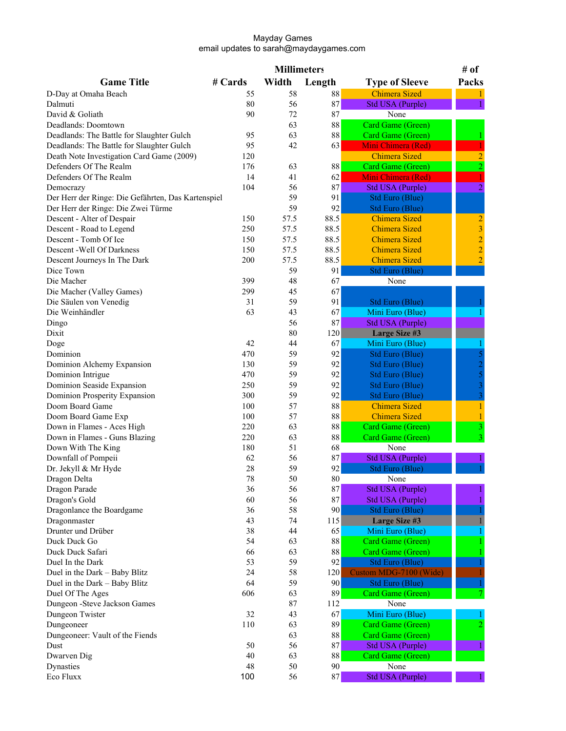|                                                    |         | <b>Millimeters</b> |          |                         | # of                                       |
|----------------------------------------------------|---------|--------------------|----------|-------------------------|--------------------------------------------|
| <b>Game Title</b>                                  | # Cards | Width              | Length   | <b>Type of Sleeve</b>   | Packs                                      |
| D-Day at Omaha Beach                               | 55      | 58                 | $\bf 88$ | <b>Chimera Sized</b>    |                                            |
| Dalmuti                                            | 80      | 56                 | 87       | <b>Std USA (Purple)</b> |                                            |
| David & Goliath                                    | 90      | 72                 | 87       | None                    |                                            |
| Deadlands: Doomtown                                |         | 63                 | 88       | Card Game (Green)       |                                            |
| Deadlands: The Battle for Slaughter Gulch          | 95      | 63                 | 88       | Card Game (Green)       |                                            |
| Deadlands: The Battle for Slaughter Gulch          | 95      | 42                 | 63       | Mini Chimera (Red)      |                                            |
| Death Note Investigation Card Game (2009)          | 120     |                    |          | <b>Chimera Sized</b>    |                                            |
| Defenders Of The Realm                             | 176     | 63                 | 88       | Card Game (Green)       | $\overline{c}$                             |
| Defenders Of The Realm                             | 14      | 41                 | 62       | Mini Chimera (Red)      |                                            |
| Democrazy                                          | 104     | 56                 | 87       | <b>Std USA (Purple)</b> | $\overline{2}$                             |
| Der Herr der Ringe: Die Gefährten, Das Kartenspiel |         | 59                 | 91       | <b>Std Euro (Blue)</b>  |                                            |
| Der Herr der Ringe: Die Zwei Türme                 |         | 59                 | 92       | Std Euro (Blue)         |                                            |
| Descent - Alter of Despair                         | 150     | 57.5               | 88.5     | <b>Chimera Sized</b>    |                                            |
| Descent - Road to Legend                           | 250     | 57.5               | 88.5     | <b>Chimera Sized</b>    |                                            |
| Descent - Tomb Of Ice                              | 150     | 57.5               | 88.5     | <b>Chimera Sized</b>    | $\begin{array}{c} 2 \\ 3 \\ 2 \end{array}$ |
| Descent - Well Of Darkness                         | 150     | 57.5               | 88.5     | <b>Chimera Sized</b>    |                                            |
| Descent Journeys In The Dark                       | 200     | 57.5               | 88.5     | <b>Chimera Sized</b>    | $\overline{2}$                             |
| Dice Town                                          |         | 59                 | 91       | Std Euro (Blue)         |                                            |
| Die Macher                                         | 399     | 48                 | 67       | None                    |                                            |
| Die Macher (Valley Games)                          | 299     | 45                 | 67       |                         |                                            |
| Die Säulen von Venedig                             | 31      | 59                 | 91       | <b>Std Euro (Blue)</b>  |                                            |
| Die Weinhändler                                    | 63      | 43                 | 67       | Mini Euro (Blue)        |                                            |
| Dingo                                              |         | 56                 | 87       | Std USA (Purple)        |                                            |
| Dixit                                              |         | 80                 | 120      | <b>Large Size #3</b>    |                                            |
| Doge                                               | 42      | 44                 | 67       | Mini Euro (Blue)        |                                            |
| Dominion                                           | 470     | 59                 | 92       | Std Euro (Blue)         |                                            |
| Dominion Alchemy Expansion                         | 130     | 59                 | 92       | Std Euro (Blue)         |                                            |
| Dominion Intrigue                                  | 470     | 59                 | 92       | Std Euro (Blue)         |                                            |
| Dominion Seaside Expansion                         | 250     | 59                 | 92       | Std Euro (Blue)         | $\begin{array}{c} 2 \\ 5 \\ 3 \end{array}$ |
| Dominion Prosperity Expansion                      | 300     | 59                 | 92       | Std Euro (Blue)         | $\overline{3}$                             |
| Doom Board Game                                    | 100     | 57                 | 88       | <b>Chimera Sized</b>    | 1                                          |
| Doom Board Game Exp                                | 100     | 57                 | 88       | <b>Chimera Sized</b>    |                                            |
| Down in Flames - Aces High                         | 220     | 63                 | 88       | Card Game (Green)       |                                            |
| Down in Flames - Guns Blazing                      | 220     | 63                 | $88\,$   | Card Game (Green)       | 3                                          |
| Down With The King                                 | 180     | 51                 | 68       | None                    |                                            |
| Downfall of Pompeii                                | 62      | 56                 | 87       | Std USA (Purple)        |                                            |
| Dr. Jekyll & Mr Hyde                               | 28      | 59                 | 92       | Std Euro (Blue)         |                                            |
| Dragon Delta                                       | 78      | 50                 | $80\,$   | None                    |                                            |
| Dragon Parade                                      | 36      | 56                 | $\bf 87$ | Std USA (Purple)        |                                            |
| Dragon's Gold                                      | 60      | 56                 | 87       | Std USA (Purple)        |                                            |
| Dragonlance the Boardgame                          | 36      | 58                 | 90       | Std Euro (Blue)         |                                            |
| Dragonmaster                                       | 43      | 74                 | 115      | Large Size #3           |                                            |
| Drunter und Drüber                                 | 38      | 44                 | 65       | Mini Euro (Blue)        |                                            |
| Duck Duck Go                                       | 54      | 63                 | $88\,$   | Card Game (Green)       |                                            |
| Duck Duck Safari                                   | 66      | 63                 | $\bf 88$ | Card Game (Green)       |                                            |
| Duel In the Dark                                   | 53      | 59                 | 92       | <b>Std Euro (Blue)</b>  |                                            |
| Duel in the Dark - Baby Blitz                      | 24      | 58                 | 120      | Custom MDG-7100 (Wide)  |                                            |
| Duel in the Dark - Baby Blitz                      | 64      | 59                 | 90       | Std Euro (Blue)         |                                            |
| Duel Of The Ages                                   | 606     | 63                 | 89       | Card Game (Green)       |                                            |
| Dungeon - Steve Jackson Games                      |         | 87                 | 112      | None                    |                                            |
| Dungeon Twister                                    | 32      | 43                 | 67       | Mini Euro (Blue)        |                                            |
| Dungeoneer                                         | 110     | 63                 | 89       | Card Game (Green)       |                                            |
| Dungeoneer: Vault of the Fiends                    |         | 63                 | $\bf 88$ | Card Game (Green)       |                                            |
| Dust                                               | 50      | 56                 | 87       | Std USA (Purple)        |                                            |
| Dwarven Dig                                        | 40      | 63                 | $88\,$   | Card Game (Green)       |                                            |
| Dynasties                                          | 48      | 50                 | 90       | None                    |                                            |
| Eco Fluxx                                          | 100     |                    | 87       |                         |                                            |
|                                                    |         | 56                 |          | Std USA (Purple)        |                                            |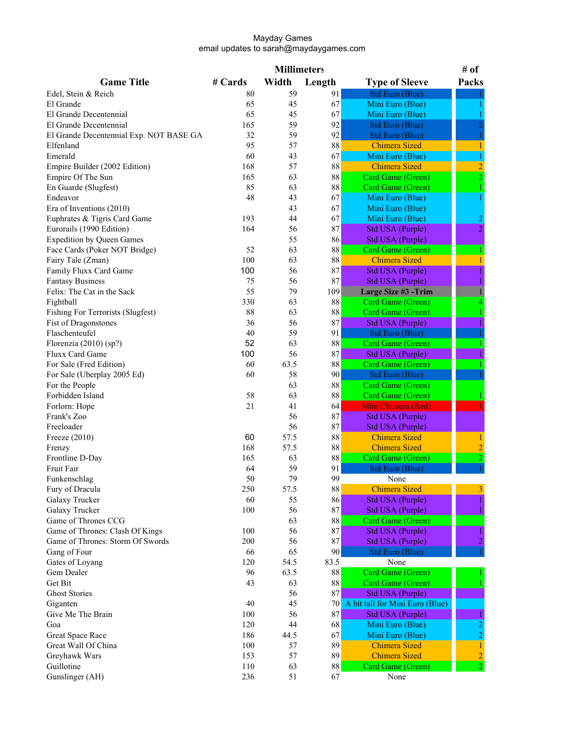| Width<br><b>Game Title</b><br># Cards<br>Length<br>Packs<br><b>Type of Sleeve</b><br><b>Std Euro (Blue)</b><br>59<br>91<br>Edel, Stein & Reich<br>80<br>65<br>45<br>67<br>Mini Euro (Blue)<br>El Grande<br>67<br>65<br>Mini Euro (Blue)<br>El Grande Decentennial<br>45<br>92<br>165<br>59<br>El Grande Decentennial<br>Std Euro (Blue)<br>92<br>32<br>59<br>El Grande Decentennial Exp. NOT BASE GA<br>Std Euro (Blue)<br>95<br>57<br>88<br><b>Chimera Sized</b><br>Elfenland<br>1<br>Emerald<br>60<br>67<br>Mini Euro (Blue)<br>43<br>$\overline{c}$<br>Empire Builder (2002 Edition)<br>168<br>57<br>88<br><b>Chimera Sized</b><br>Card Game (Green)<br>Empire Of The Sun<br>165<br>63<br>88<br>2<br>85<br>$\bf 88$<br>En Guarde (Slugfest)<br>Card Game (Green)<br>63<br>48<br>67<br>Mini Euro (Blue)<br>Endeavor<br>43<br>67<br>Era of Inventions (2010)<br>43<br>Mini Euro (Blue)<br>Euphrates & Tigris Card Game<br>193<br>67<br>44<br>Mini Euro (Blue)<br>$\overline{c}$<br>$\overline{2}$<br>Eurorails (1990 Edition)<br>164<br>87<br>56<br><b>Std USA (Purple)</b><br>86<br><b>Expedition by Queen Games</b><br>55<br>Std USA (Purple)<br>$\bf 88$<br>52<br>63<br>Face Cards (Poker NOT Bridge)<br>Card Game (Green)<br>100<br>88<br>63<br><b>Chimera Sized</b><br>Fairy Tale (Zman)<br>100<br>87<br>Std USA (Purple)<br>Family Fluxx Card Game<br>56<br>87<br><b>Fantasy Business</b><br>75<br>56<br><b>Std USA (Purple)</b><br>55<br>Large Size #3 -Trim<br>Felix: The Cat in the Sack<br>79<br>109<br>Fightball<br>330<br>63<br>88<br>Card Game (Green)<br>$\bf 88$<br><b>Fishing For Terrorists (Slugfest)</b><br>88<br>63<br>Card Game (Green)<br>87<br>Fist of Dragonstones<br>36<br>56<br><b>Std USA (Purple)</b><br>Flaschenteufel<br>40<br>59<br>91<br><b>Std Euro (Blue)</b><br>52<br>63<br>88<br>Card Game (Green)<br>Florenzia $(2010)$ (sp?)<br>100<br>87<br>Fluxx Card Game<br>56<br><b>Std USA (Purple)</b><br>For Sale (Fred Edition)<br>60<br>63.5<br>88<br>Card Game (Green)<br>For Sale (Uberplay 2005 Ed)<br>60<br>58<br>90<br><b>Std Euro (Blue)</b><br>63<br>$\bf 88$<br>Card Game (Green)<br>For the People<br>Forbidden Island<br>58<br>$\bf 88$<br>63<br>Card Game (Green)<br>21<br>Mini Chimera (Red)<br>Forlorn: Hope<br>41<br>64<br>87<br>Frank's Zoo<br>56<br><b>Std USA (Purple)</b><br>87<br>Freeloader<br>56<br>Std USA (Purple)<br>60<br>57.5<br>88<br><b>Chimera Sized</b><br>Freeze (2010)<br>57.5<br>$88\,$<br>$\overline{c}$<br>168<br><b>Chimera Sized</b><br>Frenzy<br>Frontline D-Day<br>63<br>$\bf 88$<br>Card Game (Green)<br>$\overline{2}$<br>165<br>59<br>91<br><b>Std Euro (Blue)</b><br>Fruit Fair<br>64<br>79<br>99<br>50<br>Funkenschlag<br>None<br>$88\,$<br>57.5<br>Fury of Dracula<br>250<br><b>Chimera Sized</b><br>Galaxy Trucker<br>60<br>86<br>Std USA (Purple)<br>55<br>87<br>56<br>Galaxy Trucker<br>100<br>Std USA (Purple)<br>Game of Thrones CCG<br>63<br>$88\,$<br>Card Game (Green)<br>Game of Thrones: Clash Of Kings<br>100<br>56<br>87<br><b>Std USA (Purple)</b><br>87<br>Game of Thrones: Storm Of Swords<br>200<br>56<br><b>Std USA (Purple)</b><br>90<br>Gang of Four<br>65<br>66<br>Std Euro (Blue)<br>120<br>54.5<br>83.5<br>Gates of Loyang<br>None<br>96<br>63.5<br>$\bf 88$<br>Gem Dealer<br>Card Game (Green)<br>$88\,$<br>Get Bit<br>43<br>63<br>Card Game (Green)<br>56<br>87<br><b>Ghost Stories</b><br>Std USA (Purple)<br>40<br>45<br>Giganten<br>70<br>A bit tall for Mini Euro (Blue)<br>Give Me The Brain<br>100<br>56<br>87<br><b>Std USA (Purple)</b><br>120<br>44<br>Goa<br>68<br>Mini Euro (Blue)<br>$\overline{2}$<br>67<br>Great Space Race<br>186<br>44.5<br>Mini Euro (Blue)<br>Great Wall Of China<br>100<br>89<br><b>Chimera Sized</b><br>57<br>1<br>57<br>89<br><b>Chimera Sized</b><br>$\overline{c}$<br>Greyhawk Wars<br>153<br>Guillotine<br>110<br>88<br>63<br>Card Game (Green)<br>2<br>Gunslinger (AH)<br>236<br>51<br>67<br>None |  | <b>Millimeters</b> |  | # of |
|--------------------------------------------------------------------------------------------------------------------------------------------------------------------------------------------------------------------------------------------------------------------------------------------------------------------------------------------------------------------------------------------------------------------------------------------------------------------------------------------------------------------------------------------------------------------------------------------------------------------------------------------------------------------------------------------------------------------------------------------------------------------------------------------------------------------------------------------------------------------------------------------------------------------------------------------------------------------------------------------------------------------------------------------------------------------------------------------------------------------------------------------------------------------------------------------------------------------------------------------------------------------------------------------------------------------------------------------------------------------------------------------------------------------------------------------------------------------------------------------------------------------------------------------------------------------------------------------------------------------------------------------------------------------------------------------------------------------------------------------------------------------------------------------------------------------------------------------------------------------------------------------------------------------------------------------------------------------------------------------------------------------------------------------------------------------------------------------------------------------------------------------------------------------------------------------------------------------------------------------------------------------------------------------------------------------------------------------------------------------------------------------------------------------------------------------------------------------------------------------------------------------------------------------------------------------------------------------------------------------------------------------------------------------------------------------------------------------------------------------------------------------------------------------------------------------------------------------------------------------------------------------------------------------------------------------------------------------------------------------------------------------------------------------------------------------------------------------------------------------------------------------------------------------------------------------------------------------------------------------------------------------------------------------------------------------------------------------------------------------------------------------------------------------------------------------------------------------------------------------------------------------------------------------------------------------------------------------------------------------------------------------------------------------------------------------------------------------------------------------------------------------------------------------------------------------------------------------------------------------------------------------------------------------------------------------------|--|--------------------|--|------|
|                                                                                                                                                                                                                                                                                                                                                                                                                                                                                                                                                                                                                                                                                                                                                                                                                                                                                                                                                                                                                                                                                                                                                                                                                                                                                                                                                                                                                                                                                                                                                                                                                                                                                                                                                                                                                                                                                                                                                                                                                                                                                                                                                                                                                                                                                                                                                                                                                                                                                                                                                                                                                                                                                                                                                                                                                                                                                                                                                                                                                                                                                                                                                                                                                                                                                                                                                                                                                                                                                                                                                                                                                                                                                                                                                                                                                                                                                                                                                  |  |                    |  |      |
|                                                                                                                                                                                                                                                                                                                                                                                                                                                                                                                                                                                                                                                                                                                                                                                                                                                                                                                                                                                                                                                                                                                                                                                                                                                                                                                                                                                                                                                                                                                                                                                                                                                                                                                                                                                                                                                                                                                                                                                                                                                                                                                                                                                                                                                                                                                                                                                                                                                                                                                                                                                                                                                                                                                                                                                                                                                                                                                                                                                                                                                                                                                                                                                                                                                                                                                                                                                                                                                                                                                                                                                                                                                                                                                                                                                                                                                                                                                                                  |  |                    |  |      |
|                                                                                                                                                                                                                                                                                                                                                                                                                                                                                                                                                                                                                                                                                                                                                                                                                                                                                                                                                                                                                                                                                                                                                                                                                                                                                                                                                                                                                                                                                                                                                                                                                                                                                                                                                                                                                                                                                                                                                                                                                                                                                                                                                                                                                                                                                                                                                                                                                                                                                                                                                                                                                                                                                                                                                                                                                                                                                                                                                                                                                                                                                                                                                                                                                                                                                                                                                                                                                                                                                                                                                                                                                                                                                                                                                                                                                                                                                                                                                  |  |                    |  |      |
|                                                                                                                                                                                                                                                                                                                                                                                                                                                                                                                                                                                                                                                                                                                                                                                                                                                                                                                                                                                                                                                                                                                                                                                                                                                                                                                                                                                                                                                                                                                                                                                                                                                                                                                                                                                                                                                                                                                                                                                                                                                                                                                                                                                                                                                                                                                                                                                                                                                                                                                                                                                                                                                                                                                                                                                                                                                                                                                                                                                                                                                                                                                                                                                                                                                                                                                                                                                                                                                                                                                                                                                                                                                                                                                                                                                                                                                                                                                                                  |  |                    |  |      |
|                                                                                                                                                                                                                                                                                                                                                                                                                                                                                                                                                                                                                                                                                                                                                                                                                                                                                                                                                                                                                                                                                                                                                                                                                                                                                                                                                                                                                                                                                                                                                                                                                                                                                                                                                                                                                                                                                                                                                                                                                                                                                                                                                                                                                                                                                                                                                                                                                                                                                                                                                                                                                                                                                                                                                                                                                                                                                                                                                                                                                                                                                                                                                                                                                                                                                                                                                                                                                                                                                                                                                                                                                                                                                                                                                                                                                                                                                                                                                  |  |                    |  |      |
|                                                                                                                                                                                                                                                                                                                                                                                                                                                                                                                                                                                                                                                                                                                                                                                                                                                                                                                                                                                                                                                                                                                                                                                                                                                                                                                                                                                                                                                                                                                                                                                                                                                                                                                                                                                                                                                                                                                                                                                                                                                                                                                                                                                                                                                                                                                                                                                                                                                                                                                                                                                                                                                                                                                                                                                                                                                                                                                                                                                                                                                                                                                                                                                                                                                                                                                                                                                                                                                                                                                                                                                                                                                                                                                                                                                                                                                                                                                                                  |  |                    |  |      |
|                                                                                                                                                                                                                                                                                                                                                                                                                                                                                                                                                                                                                                                                                                                                                                                                                                                                                                                                                                                                                                                                                                                                                                                                                                                                                                                                                                                                                                                                                                                                                                                                                                                                                                                                                                                                                                                                                                                                                                                                                                                                                                                                                                                                                                                                                                                                                                                                                                                                                                                                                                                                                                                                                                                                                                                                                                                                                                                                                                                                                                                                                                                                                                                                                                                                                                                                                                                                                                                                                                                                                                                                                                                                                                                                                                                                                                                                                                                                                  |  |                    |  |      |
|                                                                                                                                                                                                                                                                                                                                                                                                                                                                                                                                                                                                                                                                                                                                                                                                                                                                                                                                                                                                                                                                                                                                                                                                                                                                                                                                                                                                                                                                                                                                                                                                                                                                                                                                                                                                                                                                                                                                                                                                                                                                                                                                                                                                                                                                                                                                                                                                                                                                                                                                                                                                                                                                                                                                                                                                                                                                                                                                                                                                                                                                                                                                                                                                                                                                                                                                                                                                                                                                                                                                                                                                                                                                                                                                                                                                                                                                                                                                                  |  |                    |  |      |
|                                                                                                                                                                                                                                                                                                                                                                                                                                                                                                                                                                                                                                                                                                                                                                                                                                                                                                                                                                                                                                                                                                                                                                                                                                                                                                                                                                                                                                                                                                                                                                                                                                                                                                                                                                                                                                                                                                                                                                                                                                                                                                                                                                                                                                                                                                                                                                                                                                                                                                                                                                                                                                                                                                                                                                                                                                                                                                                                                                                                                                                                                                                                                                                                                                                                                                                                                                                                                                                                                                                                                                                                                                                                                                                                                                                                                                                                                                                                                  |  |                    |  |      |
|                                                                                                                                                                                                                                                                                                                                                                                                                                                                                                                                                                                                                                                                                                                                                                                                                                                                                                                                                                                                                                                                                                                                                                                                                                                                                                                                                                                                                                                                                                                                                                                                                                                                                                                                                                                                                                                                                                                                                                                                                                                                                                                                                                                                                                                                                                                                                                                                                                                                                                                                                                                                                                                                                                                                                                                                                                                                                                                                                                                                                                                                                                                                                                                                                                                                                                                                                                                                                                                                                                                                                                                                                                                                                                                                                                                                                                                                                                                                                  |  |                    |  |      |
|                                                                                                                                                                                                                                                                                                                                                                                                                                                                                                                                                                                                                                                                                                                                                                                                                                                                                                                                                                                                                                                                                                                                                                                                                                                                                                                                                                                                                                                                                                                                                                                                                                                                                                                                                                                                                                                                                                                                                                                                                                                                                                                                                                                                                                                                                                                                                                                                                                                                                                                                                                                                                                                                                                                                                                                                                                                                                                                                                                                                                                                                                                                                                                                                                                                                                                                                                                                                                                                                                                                                                                                                                                                                                                                                                                                                                                                                                                                                                  |  |                    |  |      |
|                                                                                                                                                                                                                                                                                                                                                                                                                                                                                                                                                                                                                                                                                                                                                                                                                                                                                                                                                                                                                                                                                                                                                                                                                                                                                                                                                                                                                                                                                                                                                                                                                                                                                                                                                                                                                                                                                                                                                                                                                                                                                                                                                                                                                                                                                                                                                                                                                                                                                                                                                                                                                                                                                                                                                                                                                                                                                                                                                                                                                                                                                                                                                                                                                                                                                                                                                                                                                                                                                                                                                                                                                                                                                                                                                                                                                                                                                                                                                  |  |                    |  |      |
|                                                                                                                                                                                                                                                                                                                                                                                                                                                                                                                                                                                                                                                                                                                                                                                                                                                                                                                                                                                                                                                                                                                                                                                                                                                                                                                                                                                                                                                                                                                                                                                                                                                                                                                                                                                                                                                                                                                                                                                                                                                                                                                                                                                                                                                                                                                                                                                                                                                                                                                                                                                                                                                                                                                                                                                                                                                                                                                                                                                                                                                                                                                                                                                                                                                                                                                                                                                                                                                                                                                                                                                                                                                                                                                                                                                                                                                                                                                                                  |  |                    |  |      |
|                                                                                                                                                                                                                                                                                                                                                                                                                                                                                                                                                                                                                                                                                                                                                                                                                                                                                                                                                                                                                                                                                                                                                                                                                                                                                                                                                                                                                                                                                                                                                                                                                                                                                                                                                                                                                                                                                                                                                                                                                                                                                                                                                                                                                                                                                                                                                                                                                                                                                                                                                                                                                                                                                                                                                                                                                                                                                                                                                                                                                                                                                                                                                                                                                                                                                                                                                                                                                                                                                                                                                                                                                                                                                                                                                                                                                                                                                                                                                  |  |                    |  |      |
|                                                                                                                                                                                                                                                                                                                                                                                                                                                                                                                                                                                                                                                                                                                                                                                                                                                                                                                                                                                                                                                                                                                                                                                                                                                                                                                                                                                                                                                                                                                                                                                                                                                                                                                                                                                                                                                                                                                                                                                                                                                                                                                                                                                                                                                                                                                                                                                                                                                                                                                                                                                                                                                                                                                                                                                                                                                                                                                                                                                                                                                                                                                                                                                                                                                                                                                                                                                                                                                                                                                                                                                                                                                                                                                                                                                                                                                                                                                                                  |  |                    |  |      |
|                                                                                                                                                                                                                                                                                                                                                                                                                                                                                                                                                                                                                                                                                                                                                                                                                                                                                                                                                                                                                                                                                                                                                                                                                                                                                                                                                                                                                                                                                                                                                                                                                                                                                                                                                                                                                                                                                                                                                                                                                                                                                                                                                                                                                                                                                                                                                                                                                                                                                                                                                                                                                                                                                                                                                                                                                                                                                                                                                                                                                                                                                                                                                                                                                                                                                                                                                                                                                                                                                                                                                                                                                                                                                                                                                                                                                                                                                                                                                  |  |                    |  |      |
|                                                                                                                                                                                                                                                                                                                                                                                                                                                                                                                                                                                                                                                                                                                                                                                                                                                                                                                                                                                                                                                                                                                                                                                                                                                                                                                                                                                                                                                                                                                                                                                                                                                                                                                                                                                                                                                                                                                                                                                                                                                                                                                                                                                                                                                                                                                                                                                                                                                                                                                                                                                                                                                                                                                                                                                                                                                                                                                                                                                                                                                                                                                                                                                                                                                                                                                                                                                                                                                                                                                                                                                                                                                                                                                                                                                                                                                                                                                                                  |  |                    |  |      |
|                                                                                                                                                                                                                                                                                                                                                                                                                                                                                                                                                                                                                                                                                                                                                                                                                                                                                                                                                                                                                                                                                                                                                                                                                                                                                                                                                                                                                                                                                                                                                                                                                                                                                                                                                                                                                                                                                                                                                                                                                                                                                                                                                                                                                                                                                                                                                                                                                                                                                                                                                                                                                                                                                                                                                                                                                                                                                                                                                                                                                                                                                                                                                                                                                                                                                                                                                                                                                                                                                                                                                                                                                                                                                                                                                                                                                                                                                                                                                  |  |                    |  |      |
|                                                                                                                                                                                                                                                                                                                                                                                                                                                                                                                                                                                                                                                                                                                                                                                                                                                                                                                                                                                                                                                                                                                                                                                                                                                                                                                                                                                                                                                                                                                                                                                                                                                                                                                                                                                                                                                                                                                                                                                                                                                                                                                                                                                                                                                                                                                                                                                                                                                                                                                                                                                                                                                                                                                                                                                                                                                                                                                                                                                                                                                                                                                                                                                                                                                                                                                                                                                                                                                                                                                                                                                                                                                                                                                                                                                                                                                                                                                                                  |  |                    |  |      |
|                                                                                                                                                                                                                                                                                                                                                                                                                                                                                                                                                                                                                                                                                                                                                                                                                                                                                                                                                                                                                                                                                                                                                                                                                                                                                                                                                                                                                                                                                                                                                                                                                                                                                                                                                                                                                                                                                                                                                                                                                                                                                                                                                                                                                                                                                                                                                                                                                                                                                                                                                                                                                                                                                                                                                                                                                                                                                                                                                                                                                                                                                                                                                                                                                                                                                                                                                                                                                                                                                                                                                                                                                                                                                                                                                                                                                                                                                                                                                  |  |                    |  |      |
|                                                                                                                                                                                                                                                                                                                                                                                                                                                                                                                                                                                                                                                                                                                                                                                                                                                                                                                                                                                                                                                                                                                                                                                                                                                                                                                                                                                                                                                                                                                                                                                                                                                                                                                                                                                                                                                                                                                                                                                                                                                                                                                                                                                                                                                                                                                                                                                                                                                                                                                                                                                                                                                                                                                                                                                                                                                                                                                                                                                                                                                                                                                                                                                                                                                                                                                                                                                                                                                                                                                                                                                                                                                                                                                                                                                                                                                                                                                                                  |  |                    |  |      |
|                                                                                                                                                                                                                                                                                                                                                                                                                                                                                                                                                                                                                                                                                                                                                                                                                                                                                                                                                                                                                                                                                                                                                                                                                                                                                                                                                                                                                                                                                                                                                                                                                                                                                                                                                                                                                                                                                                                                                                                                                                                                                                                                                                                                                                                                                                                                                                                                                                                                                                                                                                                                                                                                                                                                                                                                                                                                                                                                                                                                                                                                                                                                                                                                                                                                                                                                                                                                                                                                                                                                                                                                                                                                                                                                                                                                                                                                                                                                                  |  |                    |  |      |
|                                                                                                                                                                                                                                                                                                                                                                                                                                                                                                                                                                                                                                                                                                                                                                                                                                                                                                                                                                                                                                                                                                                                                                                                                                                                                                                                                                                                                                                                                                                                                                                                                                                                                                                                                                                                                                                                                                                                                                                                                                                                                                                                                                                                                                                                                                                                                                                                                                                                                                                                                                                                                                                                                                                                                                                                                                                                                                                                                                                                                                                                                                                                                                                                                                                                                                                                                                                                                                                                                                                                                                                                                                                                                                                                                                                                                                                                                                                                                  |  |                    |  |      |
|                                                                                                                                                                                                                                                                                                                                                                                                                                                                                                                                                                                                                                                                                                                                                                                                                                                                                                                                                                                                                                                                                                                                                                                                                                                                                                                                                                                                                                                                                                                                                                                                                                                                                                                                                                                                                                                                                                                                                                                                                                                                                                                                                                                                                                                                                                                                                                                                                                                                                                                                                                                                                                                                                                                                                                                                                                                                                                                                                                                                                                                                                                                                                                                                                                                                                                                                                                                                                                                                                                                                                                                                                                                                                                                                                                                                                                                                                                                                                  |  |                    |  |      |
|                                                                                                                                                                                                                                                                                                                                                                                                                                                                                                                                                                                                                                                                                                                                                                                                                                                                                                                                                                                                                                                                                                                                                                                                                                                                                                                                                                                                                                                                                                                                                                                                                                                                                                                                                                                                                                                                                                                                                                                                                                                                                                                                                                                                                                                                                                                                                                                                                                                                                                                                                                                                                                                                                                                                                                                                                                                                                                                                                                                                                                                                                                                                                                                                                                                                                                                                                                                                                                                                                                                                                                                                                                                                                                                                                                                                                                                                                                                                                  |  |                    |  |      |
|                                                                                                                                                                                                                                                                                                                                                                                                                                                                                                                                                                                                                                                                                                                                                                                                                                                                                                                                                                                                                                                                                                                                                                                                                                                                                                                                                                                                                                                                                                                                                                                                                                                                                                                                                                                                                                                                                                                                                                                                                                                                                                                                                                                                                                                                                                                                                                                                                                                                                                                                                                                                                                                                                                                                                                                                                                                                                                                                                                                                                                                                                                                                                                                                                                                                                                                                                                                                                                                                                                                                                                                                                                                                                                                                                                                                                                                                                                                                                  |  |                    |  |      |
|                                                                                                                                                                                                                                                                                                                                                                                                                                                                                                                                                                                                                                                                                                                                                                                                                                                                                                                                                                                                                                                                                                                                                                                                                                                                                                                                                                                                                                                                                                                                                                                                                                                                                                                                                                                                                                                                                                                                                                                                                                                                                                                                                                                                                                                                                                                                                                                                                                                                                                                                                                                                                                                                                                                                                                                                                                                                                                                                                                                                                                                                                                                                                                                                                                                                                                                                                                                                                                                                                                                                                                                                                                                                                                                                                                                                                                                                                                                                                  |  |                    |  |      |
|                                                                                                                                                                                                                                                                                                                                                                                                                                                                                                                                                                                                                                                                                                                                                                                                                                                                                                                                                                                                                                                                                                                                                                                                                                                                                                                                                                                                                                                                                                                                                                                                                                                                                                                                                                                                                                                                                                                                                                                                                                                                                                                                                                                                                                                                                                                                                                                                                                                                                                                                                                                                                                                                                                                                                                                                                                                                                                                                                                                                                                                                                                                                                                                                                                                                                                                                                                                                                                                                                                                                                                                                                                                                                                                                                                                                                                                                                                                                                  |  |                    |  |      |
|                                                                                                                                                                                                                                                                                                                                                                                                                                                                                                                                                                                                                                                                                                                                                                                                                                                                                                                                                                                                                                                                                                                                                                                                                                                                                                                                                                                                                                                                                                                                                                                                                                                                                                                                                                                                                                                                                                                                                                                                                                                                                                                                                                                                                                                                                                                                                                                                                                                                                                                                                                                                                                                                                                                                                                                                                                                                                                                                                                                                                                                                                                                                                                                                                                                                                                                                                                                                                                                                                                                                                                                                                                                                                                                                                                                                                                                                                                                                                  |  |                    |  |      |
|                                                                                                                                                                                                                                                                                                                                                                                                                                                                                                                                                                                                                                                                                                                                                                                                                                                                                                                                                                                                                                                                                                                                                                                                                                                                                                                                                                                                                                                                                                                                                                                                                                                                                                                                                                                                                                                                                                                                                                                                                                                                                                                                                                                                                                                                                                                                                                                                                                                                                                                                                                                                                                                                                                                                                                                                                                                                                                                                                                                                                                                                                                                                                                                                                                                                                                                                                                                                                                                                                                                                                                                                                                                                                                                                                                                                                                                                                                                                                  |  |                    |  |      |
|                                                                                                                                                                                                                                                                                                                                                                                                                                                                                                                                                                                                                                                                                                                                                                                                                                                                                                                                                                                                                                                                                                                                                                                                                                                                                                                                                                                                                                                                                                                                                                                                                                                                                                                                                                                                                                                                                                                                                                                                                                                                                                                                                                                                                                                                                                                                                                                                                                                                                                                                                                                                                                                                                                                                                                                                                                                                                                                                                                                                                                                                                                                                                                                                                                                                                                                                                                                                                                                                                                                                                                                                                                                                                                                                                                                                                                                                                                                                                  |  |                    |  |      |
|                                                                                                                                                                                                                                                                                                                                                                                                                                                                                                                                                                                                                                                                                                                                                                                                                                                                                                                                                                                                                                                                                                                                                                                                                                                                                                                                                                                                                                                                                                                                                                                                                                                                                                                                                                                                                                                                                                                                                                                                                                                                                                                                                                                                                                                                                                                                                                                                                                                                                                                                                                                                                                                                                                                                                                                                                                                                                                                                                                                                                                                                                                                                                                                                                                                                                                                                                                                                                                                                                                                                                                                                                                                                                                                                                                                                                                                                                                                                                  |  |                    |  |      |
|                                                                                                                                                                                                                                                                                                                                                                                                                                                                                                                                                                                                                                                                                                                                                                                                                                                                                                                                                                                                                                                                                                                                                                                                                                                                                                                                                                                                                                                                                                                                                                                                                                                                                                                                                                                                                                                                                                                                                                                                                                                                                                                                                                                                                                                                                                                                                                                                                                                                                                                                                                                                                                                                                                                                                                                                                                                                                                                                                                                                                                                                                                                                                                                                                                                                                                                                                                                                                                                                                                                                                                                                                                                                                                                                                                                                                                                                                                                                                  |  |                    |  |      |
|                                                                                                                                                                                                                                                                                                                                                                                                                                                                                                                                                                                                                                                                                                                                                                                                                                                                                                                                                                                                                                                                                                                                                                                                                                                                                                                                                                                                                                                                                                                                                                                                                                                                                                                                                                                                                                                                                                                                                                                                                                                                                                                                                                                                                                                                                                                                                                                                                                                                                                                                                                                                                                                                                                                                                                                                                                                                                                                                                                                                                                                                                                                                                                                                                                                                                                                                                                                                                                                                                                                                                                                                                                                                                                                                                                                                                                                                                                                                                  |  |                    |  |      |
|                                                                                                                                                                                                                                                                                                                                                                                                                                                                                                                                                                                                                                                                                                                                                                                                                                                                                                                                                                                                                                                                                                                                                                                                                                                                                                                                                                                                                                                                                                                                                                                                                                                                                                                                                                                                                                                                                                                                                                                                                                                                                                                                                                                                                                                                                                                                                                                                                                                                                                                                                                                                                                                                                                                                                                                                                                                                                                                                                                                                                                                                                                                                                                                                                                                                                                                                                                                                                                                                                                                                                                                                                                                                                                                                                                                                                                                                                                                                                  |  |                    |  |      |
|                                                                                                                                                                                                                                                                                                                                                                                                                                                                                                                                                                                                                                                                                                                                                                                                                                                                                                                                                                                                                                                                                                                                                                                                                                                                                                                                                                                                                                                                                                                                                                                                                                                                                                                                                                                                                                                                                                                                                                                                                                                                                                                                                                                                                                                                                                                                                                                                                                                                                                                                                                                                                                                                                                                                                                                                                                                                                                                                                                                                                                                                                                                                                                                                                                                                                                                                                                                                                                                                                                                                                                                                                                                                                                                                                                                                                                                                                                                                                  |  |                    |  |      |
|                                                                                                                                                                                                                                                                                                                                                                                                                                                                                                                                                                                                                                                                                                                                                                                                                                                                                                                                                                                                                                                                                                                                                                                                                                                                                                                                                                                                                                                                                                                                                                                                                                                                                                                                                                                                                                                                                                                                                                                                                                                                                                                                                                                                                                                                                                                                                                                                                                                                                                                                                                                                                                                                                                                                                                                                                                                                                                                                                                                                                                                                                                                                                                                                                                                                                                                                                                                                                                                                                                                                                                                                                                                                                                                                                                                                                                                                                                                                                  |  |                    |  |      |
|                                                                                                                                                                                                                                                                                                                                                                                                                                                                                                                                                                                                                                                                                                                                                                                                                                                                                                                                                                                                                                                                                                                                                                                                                                                                                                                                                                                                                                                                                                                                                                                                                                                                                                                                                                                                                                                                                                                                                                                                                                                                                                                                                                                                                                                                                                                                                                                                                                                                                                                                                                                                                                                                                                                                                                                                                                                                                                                                                                                                                                                                                                                                                                                                                                                                                                                                                                                                                                                                                                                                                                                                                                                                                                                                                                                                                                                                                                                                                  |  |                    |  |      |
|                                                                                                                                                                                                                                                                                                                                                                                                                                                                                                                                                                                                                                                                                                                                                                                                                                                                                                                                                                                                                                                                                                                                                                                                                                                                                                                                                                                                                                                                                                                                                                                                                                                                                                                                                                                                                                                                                                                                                                                                                                                                                                                                                                                                                                                                                                                                                                                                                                                                                                                                                                                                                                                                                                                                                                                                                                                                                                                                                                                                                                                                                                                                                                                                                                                                                                                                                                                                                                                                                                                                                                                                                                                                                                                                                                                                                                                                                                                                                  |  |                    |  |      |
|                                                                                                                                                                                                                                                                                                                                                                                                                                                                                                                                                                                                                                                                                                                                                                                                                                                                                                                                                                                                                                                                                                                                                                                                                                                                                                                                                                                                                                                                                                                                                                                                                                                                                                                                                                                                                                                                                                                                                                                                                                                                                                                                                                                                                                                                                                                                                                                                                                                                                                                                                                                                                                                                                                                                                                                                                                                                                                                                                                                                                                                                                                                                                                                                                                                                                                                                                                                                                                                                                                                                                                                                                                                                                                                                                                                                                                                                                                                                                  |  |                    |  |      |
|                                                                                                                                                                                                                                                                                                                                                                                                                                                                                                                                                                                                                                                                                                                                                                                                                                                                                                                                                                                                                                                                                                                                                                                                                                                                                                                                                                                                                                                                                                                                                                                                                                                                                                                                                                                                                                                                                                                                                                                                                                                                                                                                                                                                                                                                                                                                                                                                                                                                                                                                                                                                                                                                                                                                                                                                                                                                                                                                                                                                                                                                                                                                                                                                                                                                                                                                                                                                                                                                                                                                                                                                                                                                                                                                                                                                                                                                                                                                                  |  |                    |  |      |
|                                                                                                                                                                                                                                                                                                                                                                                                                                                                                                                                                                                                                                                                                                                                                                                                                                                                                                                                                                                                                                                                                                                                                                                                                                                                                                                                                                                                                                                                                                                                                                                                                                                                                                                                                                                                                                                                                                                                                                                                                                                                                                                                                                                                                                                                                                                                                                                                                                                                                                                                                                                                                                                                                                                                                                                                                                                                                                                                                                                                                                                                                                                                                                                                                                                                                                                                                                                                                                                                                                                                                                                                                                                                                                                                                                                                                                                                                                                                                  |  |                    |  |      |
|                                                                                                                                                                                                                                                                                                                                                                                                                                                                                                                                                                                                                                                                                                                                                                                                                                                                                                                                                                                                                                                                                                                                                                                                                                                                                                                                                                                                                                                                                                                                                                                                                                                                                                                                                                                                                                                                                                                                                                                                                                                                                                                                                                                                                                                                                                                                                                                                                                                                                                                                                                                                                                                                                                                                                                                                                                                                                                                                                                                                                                                                                                                                                                                                                                                                                                                                                                                                                                                                                                                                                                                                                                                                                                                                                                                                                                                                                                                                                  |  |                    |  |      |
|                                                                                                                                                                                                                                                                                                                                                                                                                                                                                                                                                                                                                                                                                                                                                                                                                                                                                                                                                                                                                                                                                                                                                                                                                                                                                                                                                                                                                                                                                                                                                                                                                                                                                                                                                                                                                                                                                                                                                                                                                                                                                                                                                                                                                                                                                                                                                                                                                                                                                                                                                                                                                                                                                                                                                                                                                                                                                                                                                                                                                                                                                                                                                                                                                                                                                                                                                                                                                                                                                                                                                                                                                                                                                                                                                                                                                                                                                                                                                  |  |                    |  |      |
|                                                                                                                                                                                                                                                                                                                                                                                                                                                                                                                                                                                                                                                                                                                                                                                                                                                                                                                                                                                                                                                                                                                                                                                                                                                                                                                                                                                                                                                                                                                                                                                                                                                                                                                                                                                                                                                                                                                                                                                                                                                                                                                                                                                                                                                                                                                                                                                                                                                                                                                                                                                                                                                                                                                                                                                                                                                                                                                                                                                                                                                                                                                                                                                                                                                                                                                                                                                                                                                                                                                                                                                                                                                                                                                                                                                                                                                                                                                                                  |  |                    |  |      |
|                                                                                                                                                                                                                                                                                                                                                                                                                                                                                                                                                                                                                                                                                                                                                                                                                                                                                                                                                                                                                                                                                                                                                                                                                                                                                                                                                                                                                                                                                                                                                                                                                                                                                                                                                                                                                                                                                                                                                                                                                                                                                                                                                                                                                                                                                                                                                                                                                                                                                                                                                                                                                                                                                                                                                                                                                                                                                                                                                                                                                                                                                                                                                                                                                                                                                                                                                                                                                                                                                                                                                                                                                                                                                                                                                                                                                                                                                                                                                  |  |                    |  |      |
|                                                                                                                                                                                                                                                                                                                                                                                                                                                                                                                                                                                                                                                                                                                                                                                                                                                                                                                                                                                                                                                                                                                                                                                                                                                                                                                                                                                                                                                                                                                                                                                                                                                                                                                                                                                                                                                                                                                                                                                                                                                                                                                                                                                                                                                                                                                                                                                                                                                                                                                                                                                                                                                                                                                                                                                                                                                                                                                                                                                                                                                                                                                                                                                                                                                                                                                                                                                                                                                                                                                                                                                                                                                                                                                                                                                                                                                                                                                                                  |  |                    |  |      |
|                                                                                                                                                                                                                                                                                                                                                                                                                                                                                                                                                                                                                                                                                                                                                                                                                                                                                                                                                                                                                                                                                                                                                                                                                                                                                                                                                                                                                                                                                                                                                                                                                                                                                                                                                                                                                                                                                                                                                                                                                                                                                                                                                                                                                                                                                                                                                                                                                                                                                                                                                                                                                                                                                                                                                                                                                                                                                                                                                                                                                                                                                                                                                                                                                                                                                                                                                                                                                                                                                                                                                                                                                                                                                                                                                                                                                                                                                                                                                  |  |                    |  |      |
|                                                                                                                                                                                                                                                                                                                                                                                                                                                                                                                                                                                                                                                                                                                                                                                                                                                                                                                                                                                                                                                                                                                                                                                                                                                                                                                                                                                                                                                                                                                                                                                                                                                                                                                                                                                                                                                                                                                                                                                                                                                                                                                                                                                                                                                                                                                                                                                                                                                                                                                                                                                                                                                                                                                                                                                                                                                                                                                                                                                                                                                                                                                                                                                                                                                                                                                                                                                                                                                                                                                                                                                                                                                                                                                                                                                                                                                                                                                                                  |  |                    |  |      |
|                                                                                                                                                                                                                                                                                                                                                                                                                                                                                                                                                                                                                                                                                                                                                                                                                                                                                                                                                                                                                                                                                                                                                                                                                                                                                                                                                                                                                                                                                                                                                                                                                                                                                                                                                                                                                                                                                                                                                                                                                                                                                                                                                                                                                                                                                                                                                                                                                                                                                                                                                                                                                                                                                                                                                                                                                                                                                                                                                                                                                                                                                                                                                                                                                                                                                                                                                                                                                                                                                                                                                                                                                                                                                                                                                                                                                                                                                                                                                  |  |                    |  |      |
|                                                                                                                                                                                                                                                                                                                                                                                                                                                                                                                                                                                                                                                                                                                                                                                                                                                                                                                                                                                                                                                                                                                                                                                                                                                                                                                                                                                                                                                                                                                                                                                                                                                                                                                                                                                                                                                                                                                                                                                                                                                                                                                                                                                                                                                                                                                                                                                                                                                                                                                                                                                                                                                                                                                                                                                                                                                                                                                                                                                                                                                                                                                                                                                                                                                                                                                                                                                                                                                                                                                                                                                                                                                                                                                                                                                                                                                                                                                                                  |  |                    |  |      |
|                                                                                                                                                                                                                                                                                                                                                                                                                                                                                                                                                                                                                                                                                                                                                                                                                                                                                                                                                                                                                                                                                                                                                                                                                                                                                                                                                                                                                                                                                                                                                                                                                                                                                                                                                                                                                                                                                                                                                                                                                                                                                                                                                                                                                                                                                                                                                                                                                                                                                                                                                                                                                                                                                                                                                                                                                                                                                                                                                                                                                                                                                                                                                                                                                                                                                                                                                                                                                                                                                                                                                                                                                                                                                                                                                                                                                                                                                                                                                  |  |                    |  |      |
|                                                                                                                                                                                                                                                                                                                                                                                                                                                                                                                                                                                                                                                                                                                                                                                                                                                                                                                                                                                                                                                                                                                                                                                                                                                                                                                                                                                                                                                                                                                                                                                                                                                                                                                                                                                                                                                                                                                                                                                                                                                                                                                                                                                                                                                                                                                                                                                                                                                                                                                                                                                                                                                                                                                                                                                                                                                                                                                                                                                                                                                                                                                                                                                                                                                                                                                                                                                                                                                                                                                                                                                                                                                                                                                                                                                                                                                                                                                                                  |  |                    |  |      |
|                                                                                                                                                                                                                                                                                                                                                                                                                                                                                                                                                                                                                                                                                                                                                                                                                                                                                                                                                                                                                                                                                                                                                                                                                                                                                                                                                                                                                                                                                                                                                                                                                                                                                                                                                                                                                                                                                                                                                                                                                                                                                                                                                                                                                                                                                                                                                                                                                                                                                                                                                                                                                                                                                                                                                                                                                                                                                                                                                                                                                                                                                                                                                                                                                                                                                                                                                                                                                                                                                                                                                                                                                                                                                                                                                                                                                                                                                                                                                  |  |                    |  |      |
|                                                                                                                                                                                                                                                                                                                                                                                                                                                                                                                                                                                                                                                                                                                                                                                                                                                                                                                                                                                                                                                                                                                                                                                                                                                                                                                                                                                                                                                                                                                                                                                                                                                                                                                                                                                                                                                                                                                                                                                                                                                                                                                                                                                                                                                                                                                                                                                                                                                                                                                                                                                                                                                                                                                                                                                                                                                                                                                                                                                                                                                                                                                                                                                                                                                                                                                                                                                                                                                                                                                                                                                                                                                                                                                                                                                                                                                                                                                                                  |  |                    |  |      |
|                                                                                                                                                                                                                                                                                                                                                                                                                                                                                                                                                                                                                                                                                                                                                                                                                                                                                                                                                                                                                                                                                                                                                                                                                                                                                                                                                                                                                                                                                                                                                                                                                                                                                                                                                                                                                                                                                                                                                                                                                                                                                                                                                                                                                                                                                                                                                                                                                                                                                                                                                                                                                                                                                                                                                                                                                                                                                                                                                                                                                                                                                                                                                                                                                                                                                                                                                                                                                                                                                                                                                                                                                                                                                                                                                                                                                                                                                                                                                  |  |                    |  |      |
|                                                                                                                                                                                                                                                                                                                                                                                                                                                                                                                                                                                                                                                                                                                                                                                                                                                                                                                                                                                                                                                                                                                                                                                                                                                                                                                                                                                                                                                                                                                                                                                                                                                                                                                                                                                                                                                                                                                                                                                                                                                                                                                                                                                                                                                                                                                                                                                                                                                                                                                                                                                                                                                                                                                                                                                                                                                                                                                                                                                                                                                                                                                                                                                                                                                                                                                                                                                                                                                                                                                                                                                                                                                                                                                                                                                                                                                                                                                                                  |  |                    |  |      |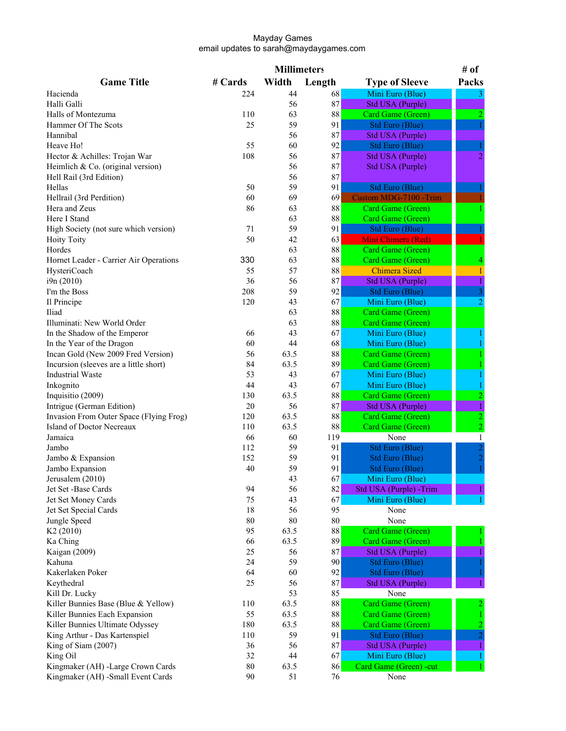|                                         |            | <b>Millimeters</b> |           |                                                  | # of                             |
|-----------------------------------------|------------|--------------------|-----------|--------------------------------------------------|----------------------------------|
| <b>Game Title</b>                       | # Cards    | Width              | Length    | <b>Type of Sleeve</b>                            | Packs                            |
| Hacienda                                | 224        | 44                 | 68        | Mini Euro (Blue)                                 |                                  |
| Halli Galli                             |            | 56                 | 87        | <b>Std USA (Purple)</b>                          |                                  |
| Halls of Montezuma                      | 110        | 63                 | $\bf 88$  | Card Game (Green)                                | 2                                |
| Hammer Of The Scots                     | 25         | 59                 | 91        | <b>Std Euro (Blue)</b>                           |                                  |
| Hannibal                                |            | 56                 | 87        | <b>Std USA (Purple)</b>                          |                                  |
| Heave Ho!                               | 55         | 60                 | 92        | <b>Std Euro (Blue)</b>                           |                                  |
| Hector & Achilles: Trojan War           | 108        | 56                 | 87        | Std USA (Purple)                                 | 2                                |
| Heimlich & Co. (original version)       |            | 56                 | 87        | <b>Std USA (Purple)</b>                          |                                  |
| Hell Rail (3rd Edition)                 |            | 56                 | 87        |                                                  |                                  |
| Hellas                                  | 50         | 59                 | 91        | <b>Std Euro (Blue)</b>                           |                                  |
| Hellrail (3rd Perdition)                | 60         | 69                 | 69        | Custom MDG-7100 -Trim                            |                                  |
| Hera and Zeus                           | 86         | 63                 | 88        | Card Game (Green)                                |                                  |
| Here I Stand                            |            | 63                 | 88        | Card Game (Green)                                |                                  |
| High Society (not sure which version)   | 71         | 59                 | 91        | <b>Std Euro (Blue)</b>                           |                                  |
| <b>Hoity Toity</b>                      | 50         | 42                 | 63        | Mini Chimera (Red)                               |                                  |
| Hordes                                  |            | 63                 | 88        | Card Game (Green)                                |                                  |
| Hornet Leader - Carrier Air Operations  | 330        | 63                 | $88\,$    | Card Game (Green)                                |                                  |
| HysteriCoach                            | 55         | 57                 | 88        | <b>Chimera Sized</b>                             |                                  |
| i9n (2010)                              | 36         | 56                 | 87        | Std USA (Purple)                                 |                                  |
| I'm the Boss                            | 208        | 59                 | 92        | <b>Std Euro (Blue)</b>                           | $\overline{3}$                   |
| Il Principe                             | 120        | 43                 | 67        | Mini Euro (Blue)                                 | 2                                |
| Iliad                                   |            | 63                 | 88        | Card Game (Green)                                |                                  |
| Illuminati: New World Order             |            | 63                 | 88        | Card Game (Green)                                |                                  |
| In the Shadow of the Emperor            | 66         | 43                 | 67        | Mini Euro (Blue)                                 |                                  |
| In the Year of the Dragon               | 60         | 44                 | 68        | Mini Euro (Blue)                                 |                                  |
| Incan Gold (New 2009 Fred Version)      | 56         | 63.5               | 88        | Card Game (Green)                                |                                  |
| Incursion (sleeves are a little short)  | 84         | 63.5               | 89        | Card Game (Green)                                |                                  |
| <b>Industrial Waste</b>                 | 53         | 43                 | 67        | Mini Euro (Blue)                                 |                                  |
| Inkognito                               | 44         | 43                 | 67        | Mini Euro (Blue)                                 |                                  |
| Inquisitio (2009)                       | 130        | 63.5               | 88        | Card Game (Green)                                | $\overline{c}$                   |
| Intrigue (German Edition)               | 20         | 56                 | 87        | <b>Std USA (Purple)</b>                          |                                  |
| Invasion From Outer Space (Flying Frog) | 120        | 63.5               | 88        | Card Game (Green)                                | $\overline{2}$                   |
| Island of Doctor Necreaux<br>Jamaica    | 110        | 63.5               | $\bf 88$  | Card Game (Green)                                | $\overline{2}$                   |
|                                         | 66         | 60                 | 119<br>91 | None                                             | $\mathbf{1}$                     |
| Jambo<br>Jambo & Expansion              | 112<br>152 | 59<br>59           | 91        | <b>Std Euro (Blue)</b><br><b>Std Euro (Blue)</b> | $\overline{c}$<br>$\overline{2}$ |
|                                         | 40         | 59                 | 91        |                                                  |                                  |
| Jambo Expansion<br>Jerusalem (2010)     |            | 43                 | 67        | Std Euro (Blue)                                  |                                  |
| Jet Set -Base Cards                     | 94         | 56                 | 82        | Mini Euro (Blue)<br>Std USA (Purple) -Trim       |                                  |
| Jet Set Money Cards                     | 75         | 43                 | 67        | Mini Euro (Blue)                                 |                                  |
| Jet Set Special Cards                   | 18         | 56                 | 95        | None                                             |                                  |
| Jungle Speed                            | 80         | 80                 | $80\,$    | None                                             |                                  |
| K <sub>2</sub> (2010)                   | 95         | 63.5               | $88\,$    | <b>Card Game (Green)</b>                         |                                  |
| Ka Ching                                | 66         | 63.5               | 89        | Card Game (Green)                                |                                  |
| Kaigan (2009)                           | 25         | 56                 | 87        | <b>Std USA (Purple)</b>                          |                                  |
| Kahuna                                  | 24         | 59                 | 90        | <b>Std Euro (Blue)</b>                           |                                  |
| Kakerlaken Poker                        | 64         | 60                 | 92        | <b>Std Euro (Blue)</b>                           |                                  |
| Keythedral                              | 25         | 56                 | 87        | <b>Std USA (Purple)</b>                          |                                  |
| Kill Dr. Lucky                          |            | 53                 | 85        | None                                             |                                  |
| Killer Bunnies Base (Blue & Yellow)     | 110        | 63.5               | $\bf 88$  | Card Game (Green)                                |                                  |
| Killer Bunnies Each Expansion           | 55         | 63.5               | 88        | Card Game (Green)                                |                                  |
| Killer Bunnies Ultimate Odyssey         | 180        | 63.5               | 88        | Card Game (Green)                                |                                  |
| King Arthur - Das Kartenspiel           | 110        | 59                 | 91        | Std Euro (Blue)                                  |                                  |
| King of Siam (2007)                     | 36         | 56                 | 87        | <b>Std USA (Purple)</b>                          |                                  |
| King Oil                                | 32         | 44                 | 67        | Mini Euro (Blue)                                 |                                  |
| Kingmaker (AH) -Large Crown Cards       | 80         | 63.5               | 86        | Card Game (Green) -cut                           |                                  |
| Kingmaker (AH) -Small Event Cards       | 90         | 51                 | 76        | None                                             |                                  |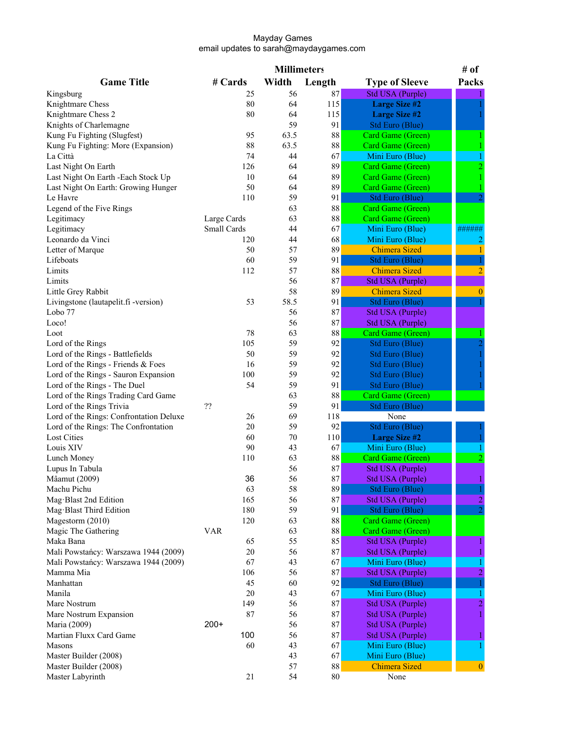|                                         |             | <b>Millimeters</b> |          |                         | # of         |
|-----------------------------------------|-------------|--------------------|----------|-------------------------|--------------|
| <b>Game Title</b>                       | # Cards     | Width              | Length   | <b>Type of Sleeve</b>   | Packs        |
| Kingsburg                               | 25          | 56                 | 87       | <b>Std USA (Purple)</b> |              |
| Knightmare Chess                        | 80          | 64                 | 115      | <b>Large Size #2</b>    |              |
| Knightmare Chess 2                      | 80          | 64                 | 115      | <b>Large Size #2</b>    |              |
| Knights of Charlemagne                  |             | 59                 | 91       | <b>Std Euro (Blue)</b>  |              |
| Kung Fu Fighting (Slugfest)             | 95          | 63.5               | 88       | Card Game (Green)       |              |
| Kung Fu Fighting: More (Expansion)      | 88          | 63.5               | 88       | Card Game (Green)       |              |
| La Città                                | 74          | 44                 | 67       | Mini Euro (Blue)        |              |
| Last Night On Earth                     | 126         | 64                 | 89       | Card Game (Green)       |              |
| Last Night On Earth - Each Stock Up     | 10          | 64                 | 89       | Card Game (Green)       |              |
| Last Night On Earth: Growing Hunger     | 50          | 64                 | 89       | Card Game (Green)       |              |
| Le Havre                                | 110         | 59                 | 91       | <b>Std Euro (Blue)</b>  |              |
| Legend of the Five Rings                |             | 63                 | 88       | Card Game (Green)       |              |
| Legitimacy                              | Large Cards | 63                 | 88       | Card Game (Green)       |              |
| Legitimacy                              | Small Cards | 44                 | 67       | Mini Euro (Blue)        | ######       |
| Leonardo da Vinci                       | 120         | 44                 | 68       | Mini Euro (Blue)        |              |
| Letter of Marque                        | 50          | 57                 | 89       | <b>Chimera Sized</b>    |              |
| Lifeboats                               | 60          | 59                 | 91       | <b>Std Euro (Blue)</b>  |              |
| Limits                                  | 112         | 57                 | 88       | <b>Chimera Sized</b>    | 2            |
| Limits                                  |             | 56                 | 87       | <b>Std USA (Purple)</b> |              |
| Little Grey Rabbit                      |             | 58                 | 89       | <b>Chimera Sized</b>    | $\mathbf{0}$ |
| Livingstone (lautapelit.fi-version)     | 53          | 58.5               | 91       | <b>Std Euro (Blue)</b>  |              |
| Lobo 77                                 |             | 56                 | 87       | <b>Std USA (Purple)</b> |              |
| Loco!                                   |             | 56                 | 87       | Std USA (Purple)        |              |
| Loot                                    | 78          | 63                 | 88       | Card Game (Green)       |              |
| Lord of the Rings                       | 105         | 59                 | 92       | Std Euro (Blue)         |              |
| Lord of the Rings - Battlefields        | 50          | 59                 | 92       | Std Euro (Blue)         |              |
| Lord of the Rings - Friends & Foes      | 16          | 59                 | 92       |                         |              |
|                                         | 100         | 59                 | 92       | Std Euro (Blue)         |              |
| Lord of the Rings - Sauron Expansion    | 54          | 59                 | 91       | Std Euro (Blue)         |              |
| Lord of the Rings - The Duel            |             |                    |          | Std Euro (Blue)         |              |
| Lord of the Rings Trading Card Game     | ??          | 63                 | 88       | Card Game (Green)       |              |
| Lord of the Rings Trivia                |             | 59                 | 91       | Std Euro (Blue)         |              |
| Lord of the Rings: Confrontation Deluxe | 26          | 69                 | 118      | None                    |              |
| Lord of the Rings: The Confrontation    | 20          | 59                 | 92       | <b>Std Euro (Blue)</b>  |              |
| <b>Lost Cities</b>                      | 60          | 70                 | 110      | <b>Large Size #2</b>    |              |
| Louis XIV                               | 90          | 43                 | 67       | Mini Euro (Blue)        |              |
| Lunch Money                             | 110         | 63                 | $88\,$   | Card Game (Green)       |              |
| Lupus In Tabula                         |             | 56                 | 87       | Std USA (Purple)        |              |
| Mâamut (2009)                           | 36          | 56                 | 87       | Std USA (Purple)        |              |
| Machu Pichu                             | 63          | 58                 | 89       | Std Euro (Blue)         |              |
| Mag Blast 2nd Edition                   | 165         | 56                 | $\bf 87$ | <b>Std USA (Purple)</b> |              |
| Mag Blast Third Edition                 | 180         | 59                 | 91       | Std Euro (Blue)         |              |
| Magestorm (2010)                        | 120         | 63                 | 88       | Card Game (Green)       |              |
| Magic The Gathering                     | VAR         | 63                 | 88       | Card Game (Green)       |              |
| Maka Bana                               | 65          | 55                 | 85       | Std USA (Purple)        |              |
| Mali Powstańcy: Warszawa 1944 (2009)    | 20          | 56                 | 87       | <b>Std USA (Purple)</b> |              |
| Mali Powstańcy: Warszawa 1944 (2009)    | 67          | 43                 | 67       | Mini Euro (Blue)        |              |
| Mamma Mia                               | 106         | 56                 | 87       | <b>Std USA (Purple)</b> | 2            |
| Manhattan                               | 45          | 60                 | 92       | <b>Std Euro (Blue)</b>  |              |
| Manila                                  | 20          | 43                 | 67       | Mini Euro (Blue)        |              |
| Mare Nostrum                            | 149         | 56                 | 87       | Std USA (Purple)        |              |
| Mare Nostrum Expansion                  | 87          | 56                 | 87       | Std USA (Purple)        |              |
| Maria (2009)                            | $200+$      | 56                 | 87       | Std USA (Purple)        |              |
| Martian Fluxx Card Game                 | 100         | 56                 | 87       | Std USA (Purple)        |              |
| Masons                                  | 60          | 43                 | 67       | Mini Euro (Blue)        |              |
| Master Builder (2008)                   |             | 43                 | 67       | Mini Euro (Blue)        |              |
| Master Builder (2008)                   |             | 57                 | $88\,$   | <b>Chimera Sized</b>    | $\theta$     |
| Master Labyrinth                        | 21          | 54                 | $80\,$   | None                    |              |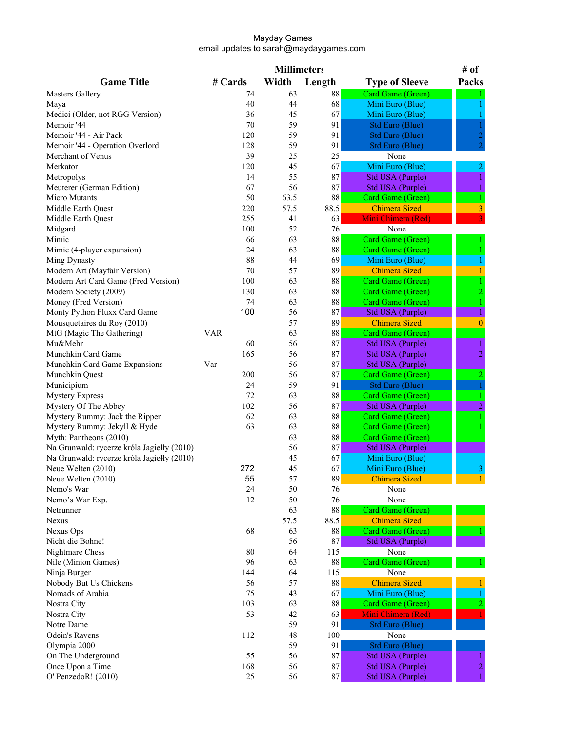|                                            |            | <b>Millimeters</b> |          |                         | # of         |
|--------------------------------------------|------------|--------------------|----------|-------------------------|--------------|
| <b>Game Title</b>                          | # Cards    | Width              | Length   | <b>Type of Sleeve</b>   | Packs        |
| <b>Masters Gallery</b>                     | 74         | 63                 | 88       | Card Game (Green)       |              |
| Maya                                       | 40         | 44                 | 68       | Mini Euro (Blue)        |              |
| Medici (Older, not RGG Version)            | 36         | 45                 | 67       | Mini Euro (Blue)        |              |
| Memoir '44                                 | 70         | 59                 | 91       | Std Euro (Blue)         |              |
| Memoir '44 - Air Pack                      | 120        | 59                 | 91       | Std Euro (Blue)         |              |
| Memoir '44 - Operation Overlord            | 128        | 59                 | 91       | Std Euro (Blue)         |              |
| Merchant of Venus                          | 39         | 25                 | 25       | None                    |              |
| Merkator                                   | 120        | 45                 | 67       | Mini Euro (Blue)        |              |
| Metropolys                                 | 14         | 55                 | 87       | <b>Std USA (Purple)</b> |              |
| Meuterer (German Edition)                  | 67         | 56                 | 87       | <b>Std USA (Purple)</b> |              |
| Micro Mutants                              | 50         | 63.5               | $88\,$   | Card Game (Green)       |              |
| Middle Earth Quest                         | 220        | 57.5               | 88.5     | <b>Chimera Sized</b>    |              |
|                                            | 255        | 41                 | 63       | Mini Chimera (Red)      |              |
| Middle Earth Quest                         |            |                    |          |                         |              |
| Midgard                                    | 100        | 52                 | 76       | None                    |              |
| Mimic                                      | 66         | 63                 | $\bf 88$ | Card Game (Green)       |              |
| Mimic (4-player expansion)                 | 24         | 63                 | 88       | Card Game (Green)       |              |
| Ming Dynasty                               | 88         | 44                 | 69       | Mini Euro (Blue)        |              |
| Modern Art (Mayfair Version)               | 70         | 57                 | 89       | <b>Chimera Sized</b>    |              |
| Modern Art Card Game (Fred Version)        | 100        | 63                 | 88       | Card Game (Green)       |              |
| Modern Society (2009)                      | 130        | 63                 | 88       | Card Game (Green)       | 2            |
| Money (Fred Version)                       | 74         | 63                 | 88       | Card Game (Green)       |              |
| Monty Python Fluxx Card Game               | 100        | 56                 | 87       | Std USA (Purple)        |              |
| Mousquetaires du Roy (2010)                |            | 57                 | 89       | <b>Chimera Sized</b>    | $\Omega$     |
| MtG (Magic The Gathering)                  | <b>VAR</b> | 63                 | 88       | Card Game (Green)       |              |
| Mu&Mehr                                    | 60         | 56                 | 87       | Std USA (Purple)        |              |
| Munchkin Card Game                         | 165        | 56                 | 87       | Std USA (Purple)        | 2            |
| Munchkin Card Game Expansions              | Var        | 56                 | 87       | Std USA (Purple)        |              |
| Munchkin Quest                             | 200        | 56                 | 87       | Card Game (Green)       | 2            |
| Municipium                                 | 24         | 59                 | 91       | <b>Std Euro (Blue)</b>  | $\mathbf{1}$ |
| <b>Mystery Express</b>                     | 72         | 63                 | 88       | Card Game (Green)       |              |
| Mystery Of The Abbey                       | 102        | 56                 | 87       | Std USA (Purple)        |              |
| Mystery Rummy: Jack the Ripper             | 62         | 63                 | 88       | Card Game (Green)       |              |
| Mystery Rummy: Jekyll & Hyde               | 63         | 63                 | 88       | Card Game (Green)       |              |
| Myth: Pantheons (2010)                     |            | 63                 | 88       | Card Game (Green)       |              |
| Na Grunwald: rycerze króla Jagiełły (2010) |            | 56                 | 87       | <b>Std USA (Purple)</b> |              |
| Na Grunwald: rycerze króla Jagiełły (2010) |            | 45                 | 67       | Mini Euro (Blue)        |              |
| Neue Welten (2010)                         | 272        | 45                 | 67       | Mini Euro (Blue)        | 3            |
| Neue Welten (2010)                         | 55         | 57                 | 89       | <b>Chimera Sized</b>    | 1            |
| Nemo's War                                 | 24         | 50                 | 76       | None                    |              |
| Nemo's War Exp.                            | 12         | 50                 | 76       | None                    |              |
| Netrunner                                  |            | 63                 | 88       | Card Game (Green)       |              |
| Nexus                                      |            | 57.5               | 88.5     | <b>Chimera Sized</b>    |              |
|                                            |            | 63                 | 88       | Card Game (Green)       |              |
| Nexus Ops                                  | 68         |                    | 87       |                         |              |
| Nicht die Bohne!                           |            | 56                 |          | <b>Std USA (Purple)</b> |              |
| Nightmare Chess                            | 80         | 64                 | 115      | None                    |              |
| Nile (Minion Games)                        | 96         | 63                 | 88       | Card Game (Green)       |              |
| Ninja Burger                               | 144        | 64                 | 115      | None                    |              |
| Nobody But Us Chickens                     | 56         | 57                 | 88       | <b>Chimera Sized</b>    |              |
| Nomads of Arabia                           | 75         | 43                 | 67       | Mini Euro (Blue)        |              |
| Nostra City                                | 103        | 63                 | 88       | Card Game (Green)       |              |
| Nostra City                                | 53         | 42                 | 63       | Mini Chimera (Red)      |              |
| Notre Dame                                 |            | 59                 | 91       | Std Euro (Blue)         |              |
| Odein's Ravens                             | 112        | 48                 | 100      | None                    |              |
| Olympia 2000                               |            | 59                 | 91       | Std Euro (Blue)         |              |
| On The Underground                         | 55         | 56                 | 87       | <b>Std USA (Purple)</b> |              |
| Once Upon a Time                           | 168        | 56                 | 87       | Std USA (Purple)        | 2            |
| O' PenzedoR! (2010)                        | 25         | 56                 | 87       | Std USA (Purple)        |              |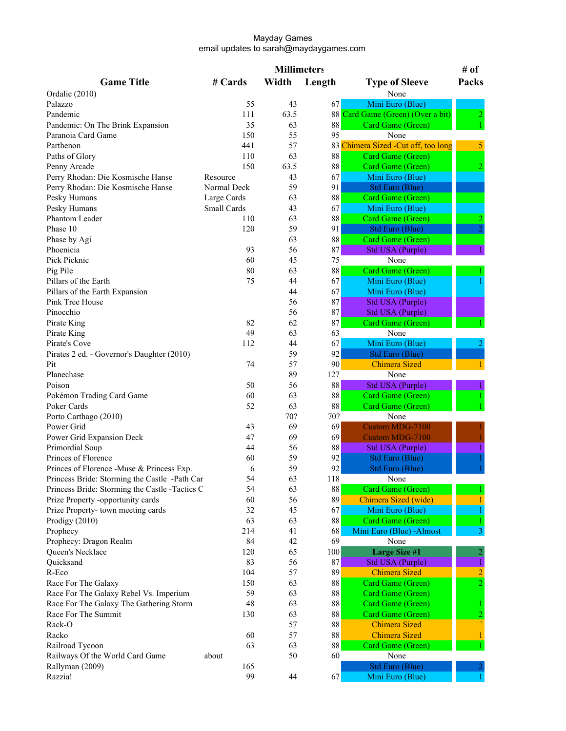|                                                |             | <b>Millimeters</b> |          |                                      | # of  |
|------------------------------------------------|-------------|--------------------|----------|--------------------------------------|-------|
| <b>Game Title</b>                              | # Cards     | Width              | Length   | <b>Type of Sleeve</b>                | Packs |
| Ordalie (2010)                                 |             |                    |          | None                                 |       |
| Palazzo                                        | 55          | 43                 | 67       | Mini Euro (Blue)                     |       |
| Pandemic                                       | 111         | 63.5               |          | 88 Card Game (Green) (Over a bit)    |       |
| Pandemic: On The Brink Expansion               | 35          | 63                 | 88       | Card Game (Green)                    |       |
| Paranoia Card Game                             | 150         | 55                 | 95       | None                                 |       |
| Parthenon                                      | 441         | 57                 |          | 83 Chimera Sized - Cut off, too long | 5     |
| Paths of Glory                                 | 110         | 63                 | $88\,$   | Card Game (Green)                    |       |
| Penny Arcade                                   | 150         | 63.5               | 88       | Card Game (Green)                    |       |
| Perry Rhodan: Die Kosmische Hanse              | Resource    | 43                 | 67       | Mini Euro (Blue)                     |       |
| Perry Rhodan: Die Kosmische Hanse              | Normal Deck | 59                 | 91       | Std Euro (Blue)                      |       |
| Pesky Humans                                   | Large Cards | 63                 | $\bf 88$ | Card Game (Green)                    |       |
| Pesky Humans                                   | Small Cards | 43                 | 67       | Mini Euro (Blue)                     |       |
| Phantom Leader                                 | 110         | 63                 | 88       | Card Game (Green)                    |       |
| Phase 10                                       | 120         | 59                 | 91       | Std Euro (Blue)                      |       |
|                                                |             |                    | $88\,$   |                                      |       |
| Phase by Agi                                   |             | 63                 |          | Card Game (Green)                    |       |
| Phoenicia                                      | 93          | 56                 | 87       | Std USA (Purple)                     |       |
| Pick Picknic                                   | 60          | 45                 | 75       | None                                 |       |
| Pig Pile                                       | 80          | 63                 | 88       | Card Game (Green)                    |       |
| Pillars of the Earth                           | 75          | 44                 | 67       | Mini Euro (Blue)                     |       |
| Pillars of the Earth Expansion                 |             | 44                 | 67       | Mini Euro (Blue)                     |       |
| Pink Tree House                                |             | 56                 | 87       | Std USA (Purple)                     |       |
| Pinocchio                                      |             | 56                 | 87       | Std USA (Purple)                     |       |
| Pirate King                                    | 82          | 62                 | 87       | Card Game (Green)                    |       |
| Pirate King                                    | 49          | 63                 | 63       | None                                 |       |
| Pirate's Cove                                  | 112         | 44                 | 67       | Mini Euro (Blue)                     |       |
| Pirates 2 ed. - Governor's Daughter (2010)     |             | 59                 | 92       | <b>Std Euro (Blue)</b>               |       |
| Pit                                            | 74          | 57                 | 90       | <b>Chimera Sized</b>                 |       |
| Planechase                                     |             | 89                 | 127      | None                                 |       |
| Poison                                         | 50          | 56                 | 88       | Std USA (Purple)                     |       |
| Pokémon Trading Card Game                      | 60          | 63                 | $\bf 88$ | Card Game (Green)                    |       |
| Poker Cards                                    | 52          | 63                 | $88\,$   | Card Game (Green)                    |       |
| Porto Carthago (2010)                          |             | 70?                | 70?      | None                                 |       |
| Power Grid                                     | 43          | 69                 | 69       | <b>Custom MDG-7100</b>               |       |
| Power Grid Expansion Deck                      | 47          | 69                 | 69       | <b>Custom MDG-7100</b>               |       |
| Primordial Soup                                | 44          | 56                 | 88       | Std USA (Purple)                     |       |
| Princes of Florence                            | 60          | 59                 | 92       | Std Euro (Blue)                      |       |
| Princes of Florence -Muse & Princess Exp.      | 6           | 59                 | 92       | Std Euro (Blue)                      |       |
| Princess Bride: Storming the Castle -Path Car  | 54          | 63                 | 118      | None                                 |       |
| Princess Bride: Storming the Castle -Tactics C | 54          | 63                 | 88       | Card Game (Green)                    |       |
| Prize Property -opportunity cards              | 60          | 56                 | 89       | Chimera Sized (wide)                 |       |
| Prize Property-town meeting cards              | 32          | 45                 | 67       | Mini Euro (Blue)                     |       |
| Prodigy (2010)                                 | 63          | 63                 | $88\,$   | Card Game (Green)                    |       |
|                                                | 214         | 41                 | 68       | Mini Euro (Blue) - Almost            |       |
| Prophecy                                       | 84          | 42                 | 69       | None                                 | 3     |
| Prophecy: Dragon Realm                         |             |                    |          |                                      |       |
| Queen's Necklace                               | 120         | 65                 | 100      | <b>Large Size #1</b>                 |       |
| Quicksand                                      | 83          | 56                 | $87\,$   | Std USA (Purple)                     |       |
| R-Eco                                          | 104         | 57                 | 89       | Chimera Sized                        |       |
| Race For The Galaxy                            | 150         | 63                 | $\bf 88$ | Card Game (Green)                    |       |
| Race For The Galaxy Rebel Vs. Imperium         | 59          | 63                 | 88       | Card Game (Green)                    |       |
| Race For The Galaxy The Gathering Storm        | 48          | 63                 | 88       | Card Game (Green)                    |       |
| Race For The Summit                            | 130         | 63                 | $\bf 88$ | Card Game (Green)                    |       |
| Rack-O                                         |             | 57                 | $88\,$   | <b>Chimera Sized</b>                 |       |
| Racko                                          | 60          | 57                 | 88       | <b>Chimera Sized</b>                 |       |
| Railroad Tycoon                                | 63          | 63                 | 88       | Card Game (Green)                    |       |
| Railways Of the World Card Game                | about       | 50                 | 60       | None                                 |       |
| Rallyman (2009)                                | 165         |                    |          | Std Euro (Blue)                      |       |
| Razzia!                                        | 99          | 44                 | 67       | Mini Euro (Blue)                     |       |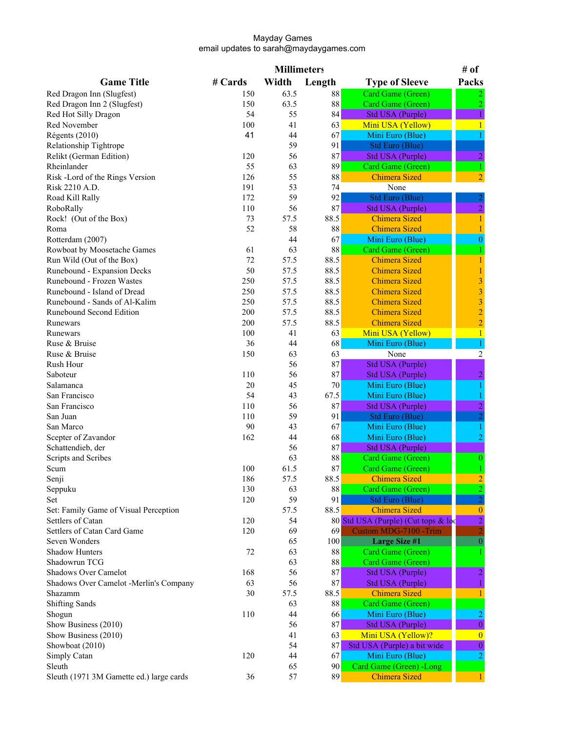|                                          |         | <b>Millimeters</b> |          |                                     | # of                    |
|------------------------------------------|---------|--------------------|----------|-------------------------------------|-------------------------|
| <b>Game Title</b>                        | # Cards | Width              | Length   | <b>Type of Sleeve</b>               | Packs                   |
| Red Dragon Inn (Slugfest)                | 150     | 63.5               | 88       | Card Game (Green)                   |                         |
| Red Dragon Inn 2 (Slugfest)              | 150     | 63.5               | 88       | Card Game (Green)                   | $\overline{2}$          |
| Red Hot Silly Dragon                     | 54      | 55                 | 84       | <b>Std USA (Purple)</b>             | 1                       |
| Red November                             | 100     | 41                 | 63       | Mini USA (Yellow)                   | $\mathbf{1}$            |
| Régents (2010)                           | 41      | 44                 | 67       | Mini Euro (Blue)                    |                         |
| Relationship Tightrope                   |         | 59                 | 91       | Std Euro (Blue)                     |                         |
| Relikt (German Edition)                  | 120     | 56                 | 87       | <b>Std USA (Purple)</b>             | $\overline{a}$          |
| Rheinlander                              | 55      | 63                 | 89       | Card Game (Green)                   | 1                       |
| Risk -Lord of the Rings Version          | 126     | 55                 | 88       | <b>Chimera Sized</b>                | $\overline{2}$          |
| Risk 2210 A.D.                           | 191     | 53                 | 74       | None                                |                         |
| Road Kill Rally                          | 172     | 59                 | 92       | <b>Std Euro (Blue)</b>              |                         |
| RoboRally                                | 110     | 56                 | 87       | <b>Std USA (Purple)</b>             |                         |
|                                          | 73      | 57.5               | 88.5     | <b>Chimera Sized</b>                | $\overline{c}$          |
| Rock! (Out of the Box)                   | 52      |                    |          |                                     | 1                       |
| Roma                                     |         | 58                 | 88       | <b>Chimera Sized</b>                |                         |
| Rotterdam (2007)                         |         | 44                 | 67       | Mini Euro (Blue)                    | $\mathbf{0}$            |
| Rowboat by Moosetache Games              | 61      | 63                 | 88       | Card Game (Green)                   |                         |
| Run Wild (Out of the Box)                | 72      | 57.5               | 88.5     | <b>Chimera Sized</b>                | 1                       |
| Runebound - Expansion Decks              | 50      | 57.5               | 88.5     | <b>Chimera Sized</b>                | $\mathbf{1}$            |
| Runebound - Frozen Wastes                | 250     | 57.5               | 88.5     | <b>Chimera Sized</b>                | 3                       |
| Runebound - Island of Dread              | 250     | 57.5               | 88.5     | <b>Chimera Sized</b>                | $\overline{\mathbf{3}}$ |
| Runebound - Sands of Al-Kalim            | 250     | 57.5               | 88.5     | <b>Chimera Sized</b>                | $\overline{\mathbf{3}}$ |
| Runebound Second Edition                 | 200     | 57.5               | 88.5     | <b>Chimera Sized</b>                | $\overline{c}$          |
| Runewars                                 | 200     | 57.5               | 88.5     | <b>Chimera Sized</b>                | $\overline{c}$          |
| Runewars                                 | 100     | 41                 | 63       | Mini USA (Yellow)                   | $\mathbf{1}$            |
| Ruse & Bruise                            | 36      | 44                 | 68       | Mini Euro (Blue)                    |                         |
| Ruse & Bruise                            | 150     | 63                 | 63       | None                                | $\overline{2}$          |
| Rush Hour                                |         | 56                 | 87       | <b>Std USA (Purple)</b>             |                         |
| Saboteur                                 | 110     | 56                 | 87       | <b>Std USA (Purple)</b>             | $\overline{c}$          |
| Salamanca                                | 20      | 45                 | 70       | Mini Euro (Blue)                    |                         |
| San Francisco                            | 54      | 43                 | 67.5     | Mini Euro (Blue)                    |                         |
| San Francisco                            | 110     | 56                 | 87       | <b>Std USA (Purple)</b>             |                         |
| San Juan                                 | 110     | 59                 | 91       | Std Euro (Blue)                     |                         |
| San Marco                                | 90      | 43                 | 67       | Mini Euro (Blue)                    |                         |
| Scepter of Zavandor                      | 162     | 44                 | 68       | Mini Euro (Blue)                    |                         |
| Schattendieb, der                        |         | 56                 | 87       | <b>Std USA (Purple)</b>             |                         |
| Scripts and Scribes                      |         | 63                 | 88       | Card Game (Green)                   | $\theta$                |
| Scum                                     | 100     | 61.5               | 87       | Card Game (Green)                   |                         |
| Senji                                    | 186     | 57.5               | 88.5     | <b>Chimera Sized</b>                |                         |
| Seppuku                                  | 130     | 63                 | $\bf 88$ | Card Game (Green)                   |                         |
| Set                                      | 120     | 59                 | 91       | <b>Std Euro (Blue)</b>              |                         |
| Set: Family Game of Visual Perception    |         | 57.5               | 88.5     | <b>Chimera Sized</b>                | $\mathbf{0}$            |
| Settlers of Catan                        | 120     | 54                 |          | 80 Std USA (Purple) (Cut tops & loc | $\overline{c}$          |
| Settlers of Catan Card Game              | 120     | 69                 | 69       | <b>Custom MDG-7100 -Trim</b>        |                         |
| Seven Wonders                            |         |                    |          |                                     |                         |
|                                          |         | 65                 | 100      | <b>Large Size #1</b>                | $\boldsymbol{0}$        |
| <b>Shadow Hunters</b>                    | 72      | 63                 | $88\,$   | Card Game (Green)                   |                         |
| Shadowrun TCG                            |         | 63                 | 88       | Card Game (Green)                   |                         |
| Shadows Over Camelot                     | 168     | 56                 | 87       | <b>Std USA (Purple)</b>             | 2                       |
| Shadows Over Camelot -Merlin's Company   | 63      | 56                 | 87       | <b>Std USA (Purple)</b>             |                         |
| Shazamm                                  | 30      | 57.5               | 88.5     | <b>Chimera Sized</b>                |                         |
| <b>Shifting Sands</b>                    |         | 63                 | $\bf 88$ | Card Game (Green)                   |                         |
| Shogun                                   | 110     | 44                 | 66       | Mini Euro (Blue)                    |                         |
| Show Business (2010)                     |         | 56                 | 87       | Std USA (Purple)                    | $\overline{0}$          |
| Show Business (2010)                     |         | 41                 | 63       | Mini USA (Yellow)?                  | $\overline{0}$          |
| Showboat (2010)                          |         | 54                 | 87       | Std USA (Purple) a bit wide         | $\mathbf{0}$            |
| Simply Catan                             | 120     | 44                 | 67       | Mini Euro (Blue)                    | 2                       |
| Sleuth                                   |         | 65                 | 90       | Card Game (Green) -Long             |                         |
| Sleuth (1971 3M Gamette ed.) large cards | 36      | 57                 | 89       | <b>Chimera Sized</b>                | 1                       |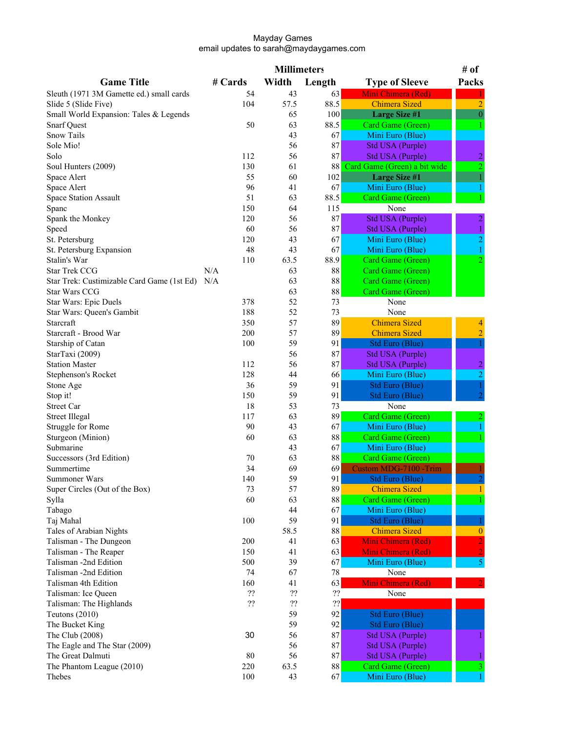|                                            |         | <b>Millimeters</b> |          |                                       | # of                           |
|--------------------------------------------|---------|--------------------|----------|---------------------------------------|--------------------------------|
| <b>Game Title</b>                          | # Cards | Width              | Length   | <b>Type of Sleeve</b>                 | Packs                          |
| Sleuth (1971 3M Gamette ed.) small cards   | 54      | 43                 | 63       | Mini Chimera (Red)                    |                                |
| Slide 5 (Slide Five)                       | 104     | 57.5               | 88.5     | <b>Chimera Sized</b>                  | $\overline{2}$                 |
| Small World Expansion: Tales & Legends     |         | 65                 | 100      | <b>Large Size #1</b>                  | $\boldsymbol{0}$               |
| <b>Snarf Quest</b>                         | 50      | 63                 | 88.5     | Card Game (Green)                     |                                |
| Snow Tails                                 |         | 43                 | 67       | Mini Euro (Blue)                      |                                |
| Sole Mio!                                  |         | 56                 | 87       | <b>Std USA (Purple)</b>               |                                |
| Solo                                       | 112     | 56                 | 87       | Std USA (Purple)                      |                                |
| Soul Hunters (2009)                        | 130     | 61                 | 88       | Card Game (Green) a bit wide          | $\frac{2}{2}$                  |
| Space Alert                                | 55      | 60                 | 102      | <b>Large Size #1</b>                  |                                |
| Space Alert                                | 96      | 41                 | 67       | Mini Euro (Blue)                      |                                |
| Space Station Assault                      | 51      | 63                 | 88.5     | Card Game (Green)                     |                                |
| Spanc                                      | 150     | 64                 | 115      | None                                  |                                |
| Spank the Monkey                           | 120     | 56                 | 87       | Std USA (Purple)                      |                                |
| Speed                                      | 60      | 56                 | 87       | Std USA (Purple)                      | $\overline{\mathbf{c}}$        |
| St. Petersburg                             | 120     | 43                 | 67       | Mini Euro (Blue)                      | $\mathbf{1}$<br>$\overline{2}$ |
|                                            | 48      | 43                 | 67       |                                       |                                |
| St. Petersburg Expansion<br>Stalin's War   | 110     | 63.5               | 88.9     | Mini Euro (Blue)<br>Card Game (Green) | $\overline{2}$                 |
| <b>Star Trek CCG</b>                       | N/A     | 63                 | 88       |                                       |                                |
|                                            |         |                    |          | Card Game (Green)                     |                                |
| Star Trek: Custimizable Card Game (1st Ed) | N/A     | 63                 | 88       | Card Game (Green)                     |                                |
| <b>Star Wars CCG</b>                       |         | 63                 | $88\,$   | Card Game (Green)                     |                                |
| Star Wars: Epic Duels                      | 378     | 52                 | 73       | None                                  |                                |
| Star Wars: Queen's Gambit                  | 188     | 52                 | 73       | None                                  |                                |
| Starcraft                                  | 350     | 57                 | 89       | <b>Chimera Sized</b>                  | 4                              |
| Starcraft - Brood War                      | 200     | 57                 | 89       | <b>Chimera Sized</b>                  | $\overline{2}$                 |
| Starship of Catan                          | 100     | 59                 | 91       | Std Euro (Blue)                       |                                |
| StarTaxi (2009)                            |         | 56                 | 87       | <b>Std USA (Purple)</b>               |                                |
| <b>Station Master</b>                      | 112     | 56                 | 87       | Std USA (Purple)                      | $\overline{2}$                 |
| Stephenson's Rocket                        | 128     | 44                 | 66       | Mini Euro (Blue)                      | $\overline{c}$                 |
| Stone Age                                  | 36      | 59                 | 91       | Std Euro (Blue)                       |                                |
| Stop it!                                   | 150     | 59                 | 91       | Std Euro (Blue)                       |                                |
| <b>Street Car</b>                          | 18      | 53                 | 73       | None                                  |                                |
| <b>Street Illegal</b>                      | 117     | 63                 | 89       | Card Game (Green)                     |                                |
| Struggle for Rome                          | 90      | 43                 | 67       | Mini Euro (Blue)                      |                                |
| Sturgeon (Minion)                          | 60      | 63                 | 88       | Card Game (Green)                     |                                |
| Submarine                                  |         | 43                 | 67       | Mini Euro (Blue)                      |                                |
| Successors (3rd Edition)                   | 70      | 63                 | 88       | Card Game (Green)                     |                                |
| Summertime                                 | 34      | 69                 | 69       | <b>Custom MDG-7100 -Trim</b>          |                                |
| Summoner Wars                              | 140     | 59                 | 91       | Std Euro (Blue)                       |                                |
| Super Circles (Out of the Box)             | 73      | 57                 | 89       | <b>Chimera Sized</b>                  |                                |
| Sylla                                      | 60      | 63                 | 88       | <b>Card Game (Green)</b>              |                                |
| Tabago                                     |         | 44                 | 67       | Mini Euro (Blue)                      |                                |
| Taj Mahal                                  | 100     | 59                 | 91       | <b>Std Euro (Blue)</b>                |                                |
| Tales of Arabian Nights                    |         | 58.5               | $\bf 88$ | <b>Chimera Sized</b>                  | $\bf{0}$                       |
| Talisman - The Dungeon                     | 200     | 41                 | 63       | Mini Chimera (Red)                    | $\overline{2}$                 |
| Talisman - The Reaper                      | 150     | 41                 | 63       | Mini Chimera (Red)                    | $\overline{2}$                 |
| Talisman -2nd Edition                      | 500     | 39                 | 67       | Mini Euro (Blue)                      | 5                              |
| Talisman -2nd Edition                      | 74      | 67                 | 78       | None                                  |                                |
| Talisman 4th Edition                       | 160     | 41                 | 63       | Mini Chimera (Red)                    |                                |
| Talisman: Ice Queen                        | ??      | ??                 | ??       | None                                  |                                |
| Talisman: The Highlands                    | ??      | 22                 | 22       |                                       |                                |
| Teutons $(2010)$                           |         | 59                 | 92       | <b>Std Euro (Blue)</b>                |                                |
| The Bucket King                            |         | 59                 | 92       | Std Euro (Blue)                       |                                |
| The Club (2008)                            | 30      | 56                 | 87       | Std USA (Purple)                      |                                |
| The Eagle and The Star (2009)              |         | 56                 | 87       | Std USA (Purple)                      |                                |
| The Great Dalmuti                          | 80      | 56                 | $\bf 87$ | <b>Std USA (Purple)</b>               |                                |
| The Phantom League (2010)                  | 220     | 63.5               | 88       | Card Game (Green)                     | 3                              |
| Thebes                                     | 100     | 43                 | 67       | Mini Euro (Blue)                      |                                |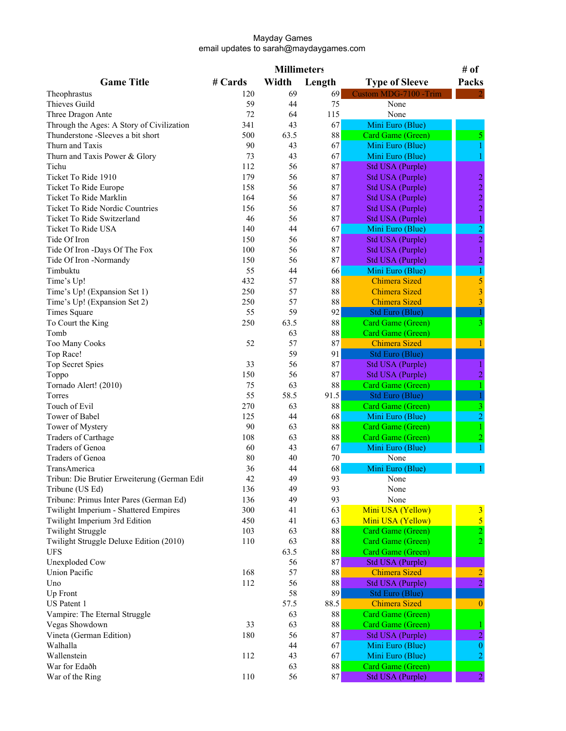|                                              |         | <b>Millimeters</b> |          |                         | # of                    |
|----------------------------------------------|---------|--------------------|----------|-------------------------|-------------------------|
| <b>Game Title</b>                            | # Cards | Width              | Length   | <b>Type of Sleeve</b>   | Packs                   |
| Theophrastus                                 | 120     | 69                 | 69       | Custom MDG-7100 -Trim   |                         |
| Thieves Guild                                | 59      | 44                 | 75       | None                    |                         |
| Three Dragon Ante                            | 72      | 64                 | 115      | None                    |                         |
| Through the Ages: A Story of Civilization    | 341     | 43                 | 67       | Mini Euro (Blue)        |                         |
| Thunderstone -Sleeves a bit short            | 500     | 63.5               | 88       | Card Game (Green)       |                         |
| Thurn and Taxis                              | 90      | 43                 | 67       | Mini Euro (Blue)        |                         |
| Thurn and Taxis Power & Glory                | 73      | 43                 | 67       | Mini Euro (Blue)        |                         |
| Tichu                                        | 112     | 56                 | 87       | <b>Std USA (Purple)</b> |                         |
| Ticket To Ride 1910                          | 179     | 56                 | 87       | Std USA (Purple)        | $\overline{c}$          |
| Ticket To Ride Europe                        | 158     | 56                 | 87       | Std USA (Purple)        | $\overline{c}$          |
| Ticket To Ride Marklin                       | 164     | 56                 | 87       | Std USA (Purple)        | $\overline{c}$          |
| Ticket To Ride Nordic Countries              | 156     | 56                 | 87       | Std USA (Purple)        | $\overline{2}$          |
| Ticket To Ride Switzerland                   | 46      | 56                 | 87       | Std USA (Purple)        |                         |
| Ticket To Ride USA                           | 140     | 44                 | 67       | Mini Euro (Blue)        | $\frac{1}{2}$           |
| Tide Of Iron                                 | 150     | 56                 | 87       | <b>Std USA (Purple)</b> | $\overline{2}$          |
| Tide Of Iron -Days Of The Fox                | 100     | 56                 | 87       | Std USA (Purple)        | $\mathbf{1}$            |
| Tide Of Iron -Normandy                       | 150     | 56                 | 87       | Std USA (Purple)        | $\overline{a}$          |
| Timbuktu                                     | 55      | 44                 | 66       | Mini Euro (Blue)        | 1                       |
| Time's Up!                                   | 432     | 57                 | $88\,$   | <b>Chimera Sized</b>    | $\overline{\mathbf{5}}$ |
| Time's Up! (Expansion Set 1)                 | 250     | 57                 | 88       | <b>Chimera Sized</b>    | $\overline{\mathbf{3}}$ |
| Time's Up! (Expansion Set 2)                 | 250     | 57                 | 88       | <b>Chimera Sized</b>    | $\overline{\mathbf{3}}$ |
| Times Square                                 | 55      | 59                 | 92       | <b>Std Euro (Blue)</b>  |                         |
| To Court the King                            | 250     | 63.5               | 88       | Card Game (Green)       | 3                       |
| Tomb                                         |         | 63                 | $\bf 88$ | Card Game (Green)       |                         |
| Too Many Cooks                               | 52      | 57                 | 87       | <b>Chimera Sized</b>    | 1                       |
| Top Race!                                    |         | 59                 | 91       | <b>Std Euro (Blue)</b>  |                         |
| <b>Top Secret Spies</b>                      | 33      | 56                 | 87       | <b>Std USA (Purple)</b> |                         |
| Toppo                                        | 150     | 56                 | 87       | Std USA (Purple)        | $\overline{2}$          |
| Tornado Alert! (2010)                        | 75      | 63                 | 88       | Card Game (Green)       |                         |
| Torres                                       | 55      | 58.5               | 91.5     | <b>Std Euro (Blue)</b>  |                         |
| Touch of Evil                                | 270     | 63                 | 88       | Card Game (Green)       |                         |
| Tower of Babel                               | 125     | 44                 | 68       | Mini Euro (Blue)        | $\overline{c}$          |
| Tower of Mystery                             | 90      | 63                 | $\bf 88$ | Card Game (Green)       |                         |
| Traders of Carthage                          | 108     | 63                 | 88       | Card Game (Green)       |                         |
| Traders of Genoa                             | 60      | 43                 | 67       | Mini Euro (Blue)        |                         |
| Traders of Genoa                             | 80      | 40                 | 70       | None                    |                         |
| TransAmerica                                 | 36      | 44                 | 68       | Mini Euro (Blue)        |                         |
| Tribun: Die Brutier Erweiterung (German Edit | 42      | 49                 | 93       | None                    |                         |
| Tribune (US Ed)                              | 136     | 49                 | 93       | None                    |                         |
| Tribune: Primus Inter Pares (German Ed)      | 136     | 49                 | 93       | None                    |                         |
| Twilight Imperium - Shattered Empires        | 300     | 41                 | 63       | Mini USA (Yellow)       | 3                       |
| Twilight Imperium 3rd Edition                | 450     | 41                 | 63       | Mini USA (Yellow)       | $\overline{5}$          |
| <b>Twilight Struggle</b>                     | 103     | 63                 | 88       | Card Game (Green)       | $\overline{c}$          |
| Twilight Struggle Deluxe Edition (2010)      | 110     | 63                 | 88       | Card Game (Green)       | $\overline{2}$          |
| <b>UFS</b>                                   |         | 63.5               | 88       | Card Game (Green)       |                         |
| <b>Unexploded Cow</b>                        |         | 56                 | 87       | <b>Std USA (Purple)</b> |                         |
| <b>Union Pacific</b>                         | 168     | 57                 | 88       | <b>Chimera Sized</b>    | $\overline{a}$          |
| Uno                                          | 112     | 56                 | 88       | <b>Std USA (Purple)</b> |                         |
| Up Front                                     |         | 58                 | 89       | Std Euro (Blue)         |                         |
| US Patent 1                                  |         | 57.5               | 88.5     | <b>Chimera Sized</b>    | $\bf{0}$                |
| Vampire: The Eternal Struggle                |         | 63                 | $\bf 88$ | Card Game (Green)       |                         |
| Vegas Showdown                               | 33      | 63                 | 88       | Card Game (Green)       |                         |
| Vineta (German Edition)                      | 180     | 56                 | 87       | <b>Std USA (Purple)</b> | $\overline{c}$          |
| Walhalla                                     |         | 44                 | 67       | Mini Euro (Blue)        | $\mathbf{0}$            |
| Wallenstein                                  | 112     | 43                 | 67       | Mini Euro (Blue)        |                         |
| War for Edaðh                                |         | 63                 | 88       | Card Game (Green)       |                         |
| War of the Ring                              | 110     | 56                 | 87       | Std USA (Purple)        | $\overline{2}$          |